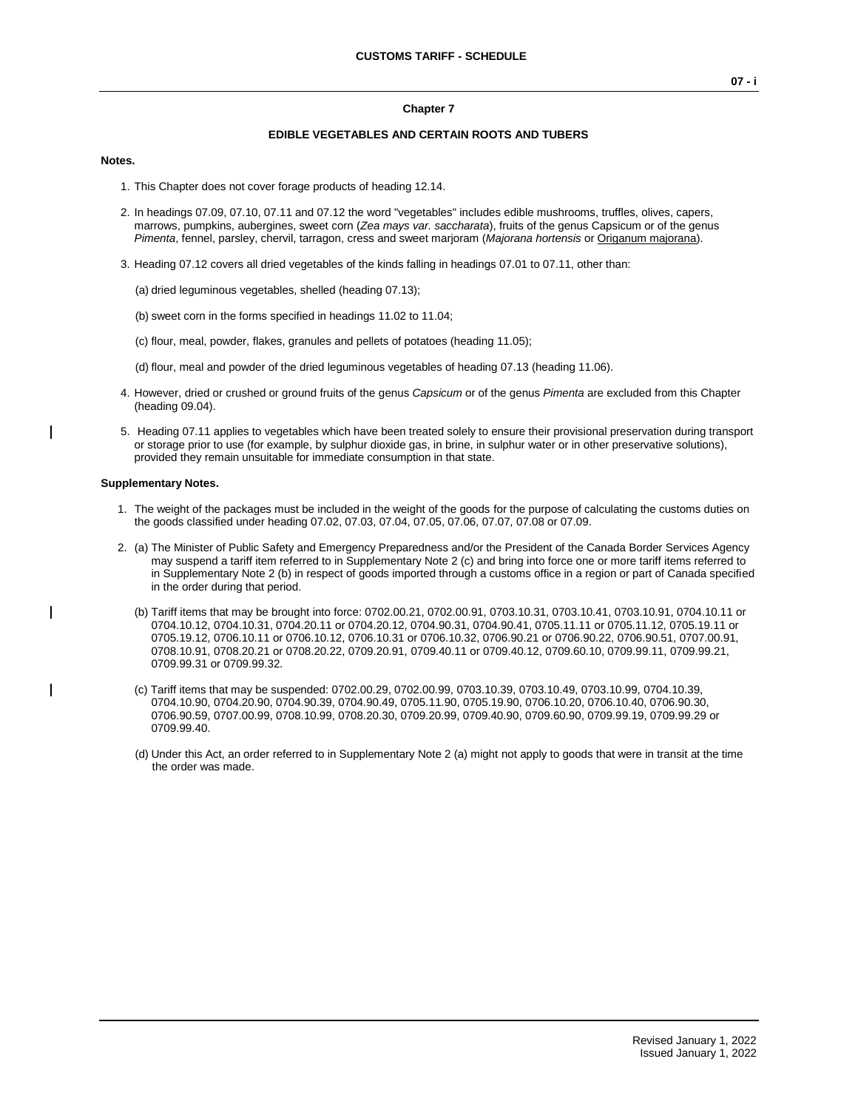# **Chapter 7 EDIBLE VEGETABLES AND CERTAIN ROOTS AND TUBERS**

#### **Notes.**

- 1. This Chapter does not cover forage products of heading 12.14.
- 2. In headings 07.09, 07.10, 07.11 and 07.12 the word "vegetables" includes edible mushrooms, truffles, olives, capers, marrows, pumpkins, aubergines, sweet corn (*Zea mays var. saccharata*), fruits of the genus Capsicum or of the genus *Pimenta*, fennel, parsley, chervil, tarragon, cress and sweet marjoram (*Majorana hortensis* or Origanum majorana).
- 3. Heading 07.12 covers all dried vegetables of the kinds falling in headings 07.01 to 07.11, other than:
	- (a) dried leguminous vegetables, shelled (heading 07.13);
	- (b) sweet corn in the forms specified in headings 11.02 to 11.04;
	- (c) flour, meal, powder, flakes, granules and pellets of potatoes (heading 11.05);
	- (d) flour, meal and powder of the dried leguminous vegetables of heading 07.13 (heading 11.06).
- 4. However, dried or crushed or ground fruits of the genus *Capsicum* or of the genus *Pimenta* are excluded from this Chapter (heading 09.04).
- 5. Heading 07.11 applies to vegetables which have been treated solely to ensure their provisional preservation during transport or storage prior to use (for example, by sulphur dioxide gas, in brine, in sulphur water or in other preservative solutions), provided they remain unsuitable for immediate consumption in that state.

#### **Supplementary Notes.**

- 1. The weight of the packages must be included in the weight of the goods for the purpose of calculating the customs duties on the goods classified under heading 07.02, 07.03, 07.04, 07.05, 07.06, 07.07, 07.08 or 07.09.
- 2. (a) The Minister of Public Safety and Emergency Preparedness and/or the President of the Canada Border Services Agency may suspend a tariff item referred to in Supplementary Note 2 (c) and bring into force one or more tariff items referred to in Supplementary Note 2 (b) in respect of goods imported through a customs office in a region or part of Canada specified in the order during that period.
	- (b) Tariff items that may be brought into force: 0702.00.21, 0702.00.91, 0703.10.31, 0703.10.41, 0703.10.91, 0704.10.11 or 0704.10.12, 0704.10.31, 0704.20.11 or 0704.20.12, 0704.90.31, 0704.90.41, 0705.11.11 or 0705.11.12, 0705.19.11 or 0705.19.12, 0706.10.11 or 0706.10.12, 0706.10.31 or 0706.10.32, 0706.90.21 or 0706.90.22, 0706.90.51, 0707.00.91, 0708.10.91, 0708.20.21 or 0708.20.22, 0709.20.91, 0709.40.11 or 0709.40.12, 0709.60.10, 0709.99.11, 0709.99.21, 0709.99.31 or 0709.99.32.
	- (c) Tariff items that may be suspended: 0702.00.29, 0702.00.99, 0703.10.39, 0703.10.49, 0703.10.99, 0704.10.39, 0704.10.90, 0704.20.90, 0704.90.39, 0704.90.49, 0705.11.90, 0705.19.90, 0706.10.20, 0706.10.40, 0706.90.30, 0706.90.59, 0707.00.99, 0708.10.99, 0708.20.30, 0709.20.99, 0709.40.90, 0709.60.90, 0709.99.19, 0709.99.29 or 0709.99.40.
	- (d) Under this Act, an order referred to in Supplementary Note 2 (a) might not apply to goods that were in transit at the time the order was made.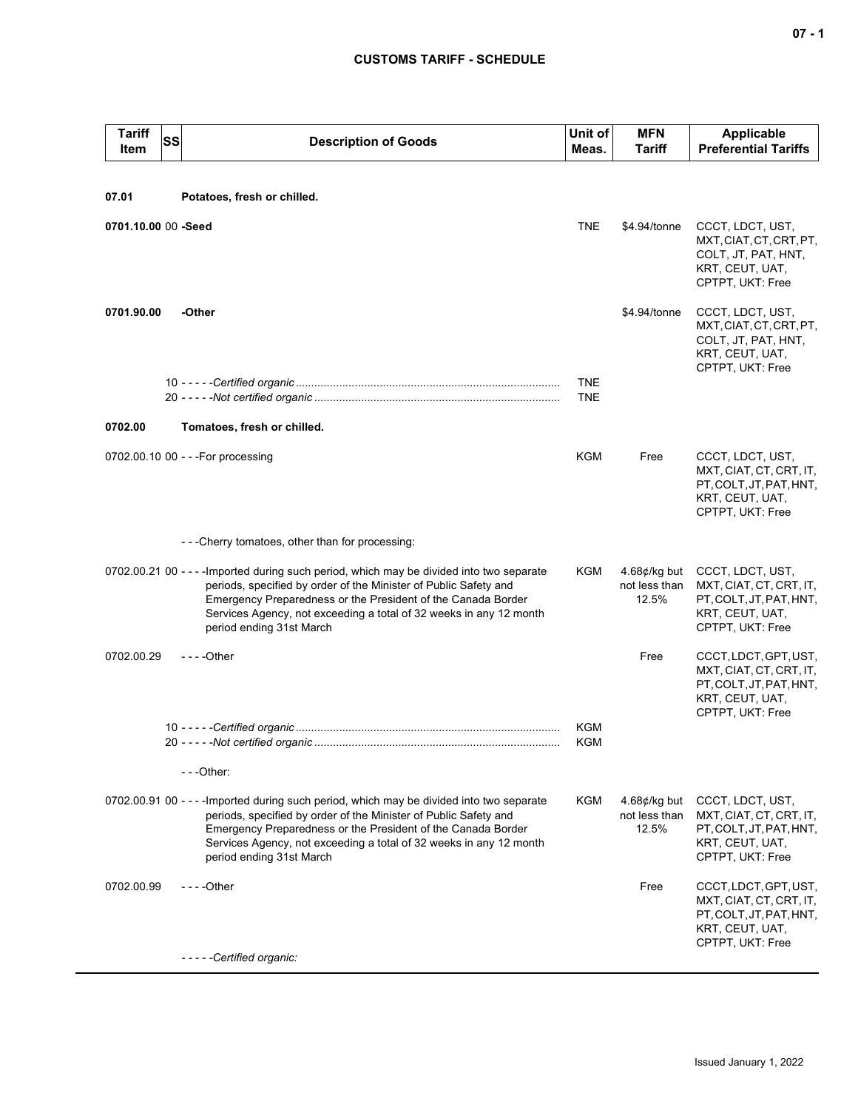| <b>Tariff</b><br>Item | SS | <b>Description of Goods</b>                                                                                                                                                                                                                                                                                                     | Unit of<br>Meas.         | <b>MFN</b><br><b>Tariff</b>                      | <b>Applicable</b><br><b>Preferential Tariffs</b>                                                                   |
|-----------------------|----|---------------------------------------------------------------------------------------------------------------------------------------------------------------------------------------------------------------------------------------------------------------------------------------------------------------------------------|--------------------------|--------------------------------------------------|--------------------------------------------------------------------------------------------------------------------|
|                       |    |                                                                                                                                                                                                                                                                                                                                 |                          |                                                  |                                                                                                                    |
| 07.01                 |    | Potatoes, fresh or chilled.                                                                                                                                                                                                                                                                                                     |                          |                                                  |                                                                                                                    |
| 0701.10.00 00 -Seed   |    |                                                                                                                                                                                                                                                                                                                                 | <b>TNE</b>               | \$4.94/tonne                                     | CCCT, LDCT, UST,<br>MXT, CIAT, CT, CRT, PT,<br>COLT, JT, PAT, HNT,<br>KRT, CEUT, UAT,<br>CPTPT, UKT: Free          |
| 0701.90.00            |    | -Other                                                                                                                                                                                                                                                                                                                          |                          | \$4.94/tonne                                     | CCCT, LDCT, UST,<br>MXT.CIAT.CT.CRT.PT.<br>COLT, JT, PAT, HNT,<br>KRT, CEUT, UAT,<br>CPTPT, UKT: Free              |
|                       |    |                                                                                                                                                                                                                                                                                                                                 | <b>TNE</b><br><b>TNE</b> |                                                  |                                                                                                                    |
| 0702.00               |    | Tomatoes, fresh or chilled.                                                                                                                                                                                                                                                                                                     |                          |                                                  |                                                                                                                    |
|                       |    |                                                                                                                                                                                                                                                                                                                                 |                          |                                                  |                                                                                                                    |
|                       |    | 0702.00.10 00 - - - For processing                                                                                                                                                                                                                                                                                              | KGM                      | Free                                             | CCCT, LDCT, UST,<br>MXT, CIAT, CT, CRT, IT,<br>PT, COLT, JT, PAT, HNT,<br>KRT, CEUT, UAT,<br>CPTPT, UKT: Free      |
|                       |    | ---Cherry tomatoes, other than for processing:                                                                                                                                                                                                                                                                                  |                          |                                                  |                                                                                                                    |
|                       |    | 0702.00.21 00 - - - - Imported during such period, which may be divided into two separate<br>periods, specified by order of the Minister of Public Safety and<br>Emergency Preparedness or the President of the Canada Border<br>Services Agency, not exceeding a total of 32 weeks in any 12 month<br>period ending 31st March | KGM                      | $4.68$ ¢/kg but<br>not less than<br>12.5%        | CCCT, LDCT, UST,<br>MXT, CIAT, CT, CRT, IT,<br>PT, COLT, JT, PAT, HNT,<br>KRT, CEUT, UAT,<br>CPTPT, UKT: Free      |
| 0702.00.29            |    | $--$ Other                                                                                                                                                                                                                                                                                                                      |                          | Free                                             | CCCT, LDCT, GPT, UST,<br>MXT, CIAT, CT, CRT, IT,<br>PT, COLT, JT, PAT, HNT,<br>KRT, CEUT, UAT,<br>CPTPT, UKT: Free |
|                       |    |                                                                                                                                                                                                                                                                                                                                 | <b>KGM</b><br><b>KGM</b> |                                                  |                                                                                                                    |
|                       |    | ---Other:                                                                                                                                                                                                                                                                                                                       |                          |                                                  |                                                                                                                    |
|                       |    | 0702.00.91 00 - - - - Imported during such period, which may be divided into two separate<br>periods, specified by order of the Minister of Public Safety and<br>Emergency Preparedness or the President of the Canada Border<br>Services Agency, not exceeding a total of 32 weeks in any 12 month<br>period ending 31st March | KGM                      | 4.68 $\not\in$ /kg but<br>not less than<br>12.5% | CCCT, LDCT, UST,<br>MXT, CIAT, CT, CRT, IT,<br>PT, COLT, JT, PAT, HNT,<br>KRT, CEUT, UAT,<br>CPTPT, UKT: Free      |
| 0702.00.99            |    | $--$ Other                                                                                                                                                                                                                                                                                                                      |                          | Free                                             | CCCT, LDCT, GPT, UST,<br>MXT, CIAT, CT, CRT, IT,<br>PT, COLT, JT, PAT, HNT,<br>KRT, CEUT, UAT,<br>CPTPT, UKT: Free |
|                       |    | -----Certified organic:                                                                                                                                                                                                                                                                                                         |                          |                                                  |                                                                                                                    |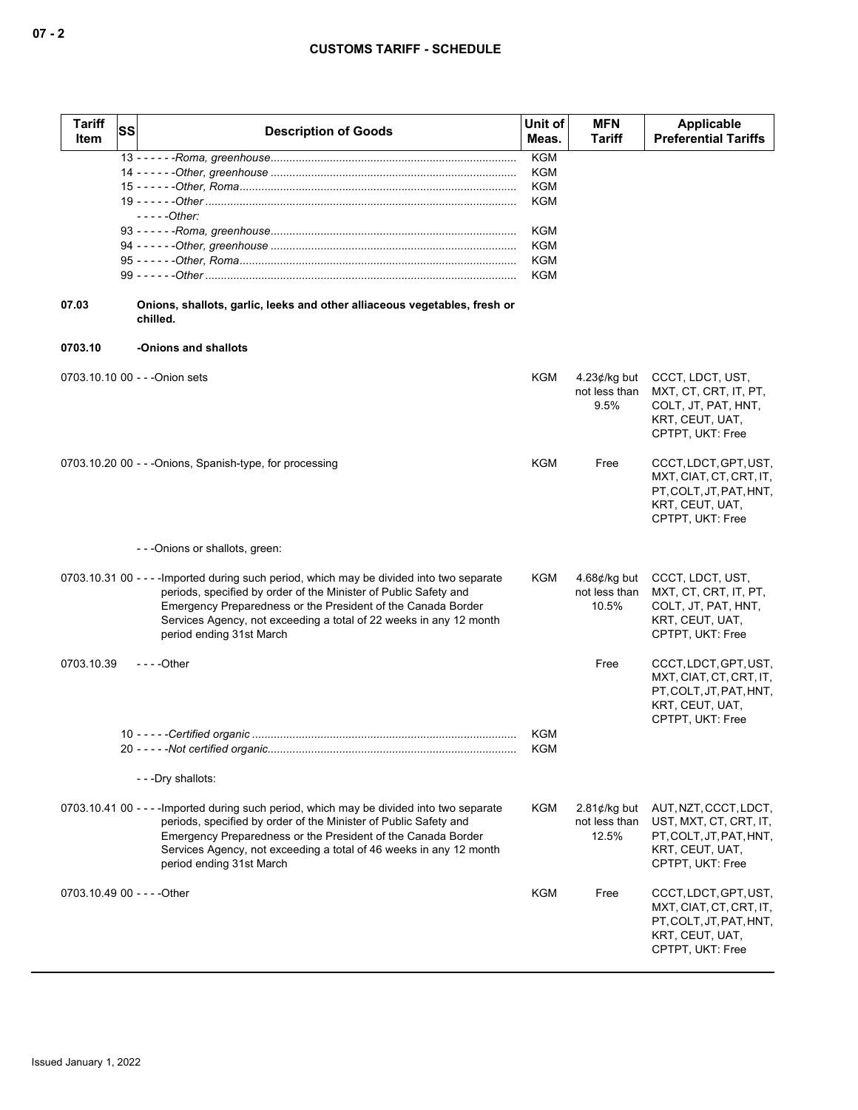| <b>Tariff</b><br>Item | SS | <b>Description of Goods</b>                                                                                                                                                                                                                                                                                                     | Unit of<br>Meas.         | <b>MFN</b><br>Tariff                             | Applicable<br><b>Preferential Tariffs</b>                                                                          |
|-----------------------|----|---------------------------------------------------------------------------------------------------------------------------------------------------------------------------------------------------------------------------------------------------------------------------------------------------------------------------------|--------------------------|--------------------------------------------------|--------------------------------------------------------------------------------------------------------------------|
|                       |    |                                                                                                                                                                                                                                                                                                                                 | <b>KGM</b><br><b>KGM</b> |                                                  |                                                                                                                    |
|                       |    |                                                                                                                                                                                                                                                                                                                                 | <b>KGM</b>               |                                                  |                                                                                                                    |
|                       |    | - - - - -Other:                                                                                                                                                                                                                                                                                                                 | <b>KGM</b>               |                                                  |                                                                                                                    |
|                       |    |                                                                                                                                                                                                                                                                                                                                 | <b>KGM</b>               |                                                  |                                                                                                                    |
|                       |    |                                                                                                                                                                                                                                                                                                                                 | <b>KGM</b>               |                                                  |                                                                                                                    |
|                       |    |                                                                                                                                                                                                                                                                                                                                 | <b>KGM</b><br><b>KGM</b> |                                                  |                                                                                                                    |
|                       |    |                                                                                                                                                                                                                                                                                                                                 |                          |                                                  |                                                                                                                    |
| 07.03                 |    | Onions, shallots, garlic, leeks and other alliaceous vegetables, fresh or<br>chilled.                                                                                                                                                                                                                                           |                          |                                                  |                                                                                                                    |
| 0703.10               |    | -Onions and shallots                                                                                                                                                                                                                                                                                                            |                          |                                                  |                                                                                                                    |
|                       |    | 0703.10.10 00 - - - Onion sets                                                                                                                                                                                                                                                                                                  | KGM                      | $4.23$ ¢/kg but<br>not less than<br>9.5%         | CCCT, LDCT, UST,<br>MXT, CT, CRT, IT, PT,<br>COLT, JT, PAT, HNT,<br>KRT, CEUT, UAT,<br>CPTPT, UKT: Free            |
|                       |    | 0703.10.20 00 - - - Onions, Spanish-type, for processing                                                                                                                                                                                                                                                                        | <b>KGM</b>               | Free                                             | CCCT, LDCT, GPT, UST,<br>MXT, CIAT, CT, CRT, IT,<br>PT, COLT, JT, PAT, HNT,<br>KRT, CEUT, UAT,<br>CPTPT, UKT: Free |
|                       |    | - - - Onions or shallots, green:                                                                                                                                                                                                                                                                                                |                          |                                                  |                                                                                                                    |
|                       |    | 0703.10.31 00 - - - - Imported during such period, which may be divided into two separate<br>periods, specified by order of the Minister of Public Safety and<br>Emergency Preparedness or the President of the Canada Border<br>Services Agency, not exceeding a total of 22 weeks in any 12 month<br>period ending 31st March | KGM                      | 4.68 $\not\in$ /kg but<br>not less than<br>10.5% | CCCT, LDCT, UST,<br>MXT, CT, CRT, IT, PT,<br>COLT, JT, PAT, HNT,<br>KRT, CEUT, UAT,<br>CPTPT, UKT: Free            |
| 0703.10.39            |    | $--$ Other                                                                                                                                                                                                                                                                                                                      |                          | Free                                             | CCCT, LDCT, GPT, UST,<br>MXT, CIAT, CT, CRT, IT,<br>PT, COLT, JT, PAT, HNT,<br>KRT, CEUT, UAT,<br>CPTPT, UKT: Free |
|                       |    |                                                                                                                                                                                                                                                                                                                                 | KGM                      |                                                  |                                                                                                                    |
|                       |    |                                                                                                                                                                                                                                                                                                                                 | KGM                      |                                                  |                                                                                                                    |
|                       |    | - - - Dry shallots:                                                                                                                                                                                                                                                                                                             |                          |                                                  |                                                                                                                    |
|                       |    | 0703.10.41 00 - - - - Imported during such period, which may be divided into two separate<br>periods, specified by order of the Minister of Public Safety and<br>Emergency Preparedness or the President of the Canada Border<br>Services Agency, not exceeding a total of 46 weeks in any 12 month<br>period ending 31st March | <b>KGM</b>               | $2.81$ ¢/kg but<br>not less than<br>12.5%        | AUT, NZT, CCCT, LDCT,<br>UST, MXT, CT, CRT, IT,<br>PT, COLT, JT, PAT, HNT,<br>KRT, CEUT, UAT,<br>CPTPT, UKT: Free  |
|                       |    | 0703.10.49 00 - - - - Other                                                                                                                                                                                                                                                                                                     | KGM                      | Free                                             | CCCT, LDCT, GPT, UST,<br>MXT, CIAT, CT, CRT, IT,<br>PT, COLT, JT, PAT, HNT,<br>KRT, CEUT, UAT,<br>CPTPT, UKT: Free |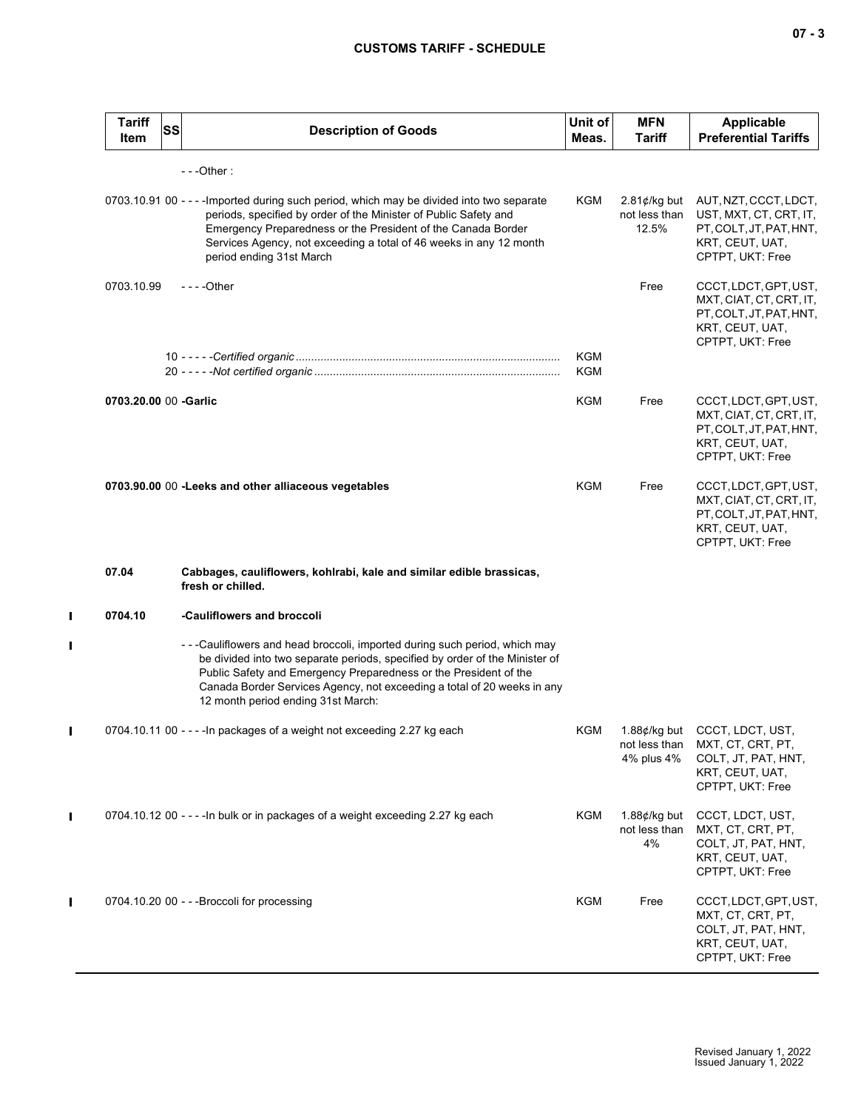| <b>Tariff</b><br>Item | <b>SS</b> | <b>Description of Goods</b>                                                                                                                                                                                                                                                                                                                  | Unit of<br>Meas.  | <b>MFN</b><br>Tariff                                         | <b>Applicable</b><br><b>Preferential Tariffs</b>                                                                   |
|-----------------------|-----------|----------------------------------------------------------------------------------------------------------------------------------------------------------------------------------------------------------------------------------------------------------------------------------------------------------------------------------------------|-------------------|--------------------------------------------------------------|--------------------------------------------------------------------------------------------------------------------|
|                       |           | $--$ Other:                                                                                                                                                                                                                                                                                                                                  |                   |                                                              |                                                                                                                    |
|                       |           | 0703.10.91 00 - - - - Imported during such period, which may be divided into two separate<br>periods, specified by order of the Minister of Public Safety and<br>Emergency Preparedness or the President of the Canada Border<br>Services Agency, not exceeding a total of 46 weeks in any 12 month<br>period ending 31st March              | KGM               | $2.81$ ¢/kg but<br>not less than<br>12.5%                    | AUT, NZT, CCCT, LDCT,<br>UST, MXT, CT, CRT, IT,<br>PT, COLT, JT, PAT, HNT,<br>KRT, CEUT, UAT,<br>CPTPT, UKT: Free  |
| 0703.10.99            |           | - - - - Other                                                                                                                                                                                                                                                                                                                                |                   | Free                                                         | CCCT, LDCT, GPT, UST,<br>MXT, CIAT, CT, CRT, IT,<br>PT, COLT, JT, PAT, HNT,<br>KRT, CEUT, UAT,<br>CPTPT, UKT: Free |
|                       |           |                                                                                                                                                                                                                                                                                                                                              | <b>KGM</b><br>KGM |                                                              |                                                                                                                    |
| 0703.20.00 00 -Garlic |           |                                                                                                                                                                                                                                                                                                                                              | KGM               | Free                                                         | CCCT, LDCT, GPT, UST,<br>MXT, CIAT, CT, CRT, IT,<br>PT, COLT, JT, PAT, HNT,<br>KRT, CEUT, UAT,<br>CPTPT, UKT: Free |
|                       |           | 0703.90.00 00 - Leeks and other alliaceous vegetables                                                                                                                                                                                                                                                                                        | KGM               | Free                                                         | CCCT, LDCT, GPT, UST,<br>MXT, CIAT, CT, CRT, IT,<br>PT, COLT, JT, PAT, HNT,<br>KRT, CEUT, UAT,<br>CPTPT, UKT: Free |
| 07.04                 |           | Cabbages, cauliflowers, kohlrabi, kale and similar edible brassicas,<br>fresh or chilled.                                                                                                                                                                                                                                                    |                   |                                                              |                                                                                                                    |
| 0704.10               |           | -Cauliflowers and broccoli                                                                                                                                                                                                                                                                                                                   |                   |                                                              |                                                                                                                    |
|                       |           | --Cauliflowers and head broccoli, imported during such period, which may<br>be divided into two separate periods, specified by order of the Minister of<br>Public Safety and Emergency Preparedness or the President of the<br>Canada Border Services Agency, not exceeding a total of 20 weeks in any<br>12 month period ending 31st March: |                   |                                                              |                                                                                                                    |
|                       |           | 0704.10.11 00 - - - - In packages of a weight not exceeding 2.27 kg each                                                                                                                                                                                                                                                                     | KGM               | 1.88 $\not\!\epsilon$ /kg but<br>not less than<br>4% plus 4% | CCCT, LDCT, UST,<br>MXT, CT, CRT, PT,<br>COLT, JT, PAT, HNT,<br>KRT, CEUT, UAT,<br>CPTPT, UKT: Free                |
|                       |           | 0704.10.12 00 - - - - In bulk or in packages of a weight exceeding 2.27 kg each                                                                                                                                                                                                                                                              | KGM               | 1.88 $\not\in$ /kg but<br>not less than<br>4%                | CCCT, LDCT, UST,<br>MXT, CT, CRT, PT,<br>COLT, JT, PAT, HNT,<br>KRT, CEUT, UAT,<br>CPTPT, UKT: Free                |
|                       |           | 0704.10.20 00 - - - Broccoli for processing                                                                                                                                                                                                                                                                                                  | KGM               | Free                                                         | CCCT, LDCT, GPT, UST,<br>MXT, CT, CRT, PT,<br>COLT, JT, PAT, HNT,<br>KRT, CEUT, UAT,<br>CPTPT, UKT: Free           |

 $\mathbf{I}$ 

 $\blacksquare$ 

 $\mathbf{I}$ 

 $\mathbf{I}$ 

 $\mathbf{I}$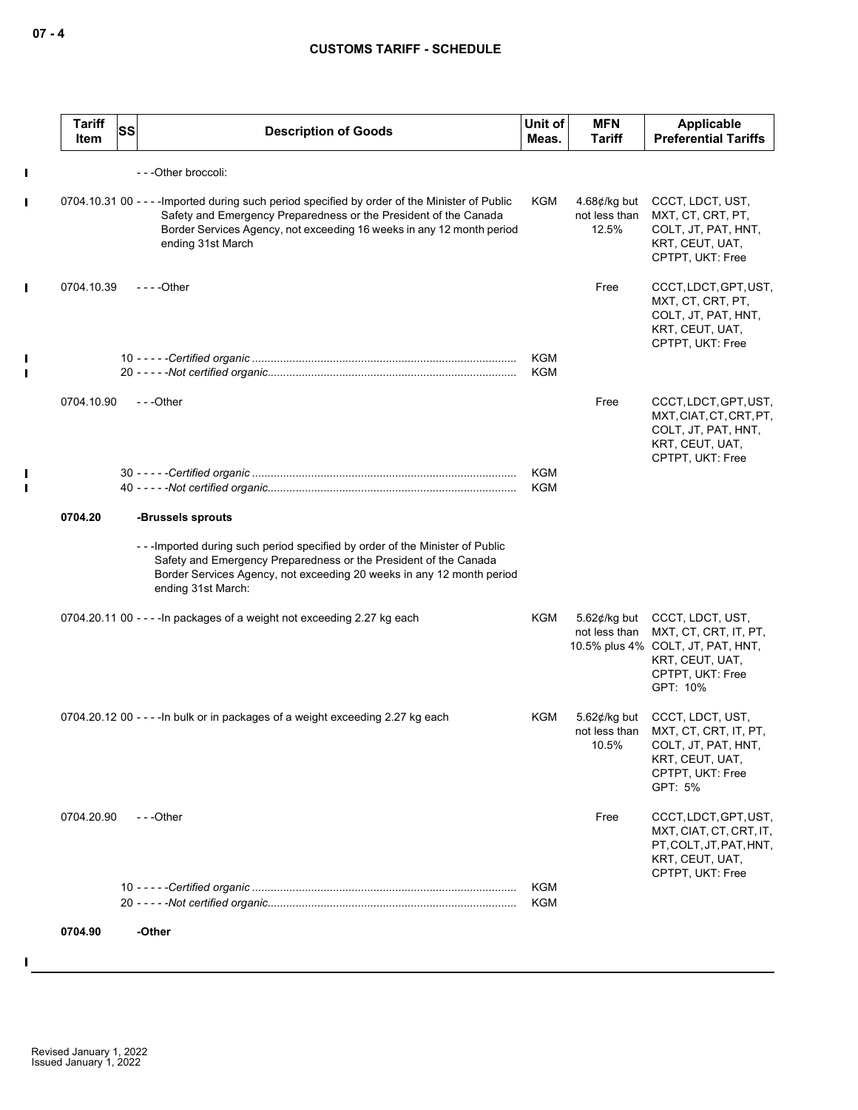| <b>Tariff</b><br><b>SS</b><br>ltem | <b>Description of Goods</b>                                                                                                                                                                                                                                      | Unit of<br>Meas. | <b>MFN</b><br><b>Tariff</b>                      | <b>Applicable</b><br><b>Preferential Tariffs</b>                                                                                               |
|------------------------------------|------------------------------------------------------------------------------------------------------------------------------------------------------------------------------------------------------------------------------------------------------------------|------------------|--------------------------------------------------|------------------------------------------------------------------------------------------------------------------------------------------------|
|                                    | - - - Other broccoli:                                                                                                                                                                                                                                            |                  |                                                  |                                                                                                                                                |
|                                    | 0704.10.31 00 - - - - Imported during such period specified by order of the Minister of Public<br>Safety and Emergency Preparedness or the President of the Canada<br>Border Services Agency, not exceeding 16 weeks in any 12 month period<br>ending 31st March | KGM              | 4.68 $\not\in$ /kg but<br>not less than<br>12.5% | CCCT, LDCT, UST,<br>MXT, CT, CRT, PT,<br>COLT, JT, PAT, HNT,<br>KRT, CEUT, UAT,<br>CPTPT, UKT: Free                                            |
| 0704.10.39                         | $--$ Other                                                                                                                                                                                                                                                       |                  | Free                                             | CCCT, LDCT, GPT, UST,<br>MXT, CT, CRT, PT,<br>COLT, JT, PAT, HNT,<br>KRT, CEUT, UAT,<br>CPTPT, UKT: Free                                       |
|                                    |                                                                                                                                                                                                                                                                  | KGM<br>KGM       |                                                  |                                                                                                                                                |
| 0704.10.90                         | ---Other                                                                                                                                                                                                                                                         |                  | Free                                             | CCCT, LDCT, GPT, UST,<br>MXT, CIAT, CT, CRT, PT,<br>COLT, JT, PAT, HNT,<br>KRT, CEUT, UAT,<br>CPTPT, UKT: Free                                 |
|                                    |                                                                                                                                                                                                                                                                  | KGM<br>KGM       |                                                  |                                                                                                                                                |
| 0704.20                            | -Brussels sprouts                                                                                                                                                                                                                                                |                  |                                                  |                                                                                                                                                |
|                                    | ---Imported during such period specified by order of the Minister of Public<br>Safety and Emergency Preparedness or the President of the Canada<br>Border Services Agency, not exceeding 20 weeks in any 12 month period<br>ending 31st March:                   |                  |                                                  |                                                                                                                                                |
|                                    | 0704.20.11 00 - - - - In packages of a weight not exceeding 2.27 kg each                                                                                                                                                                                         | KGM              | not less than                                    | 5.62¢/kg but CCCT, LDCT, UST,<br>MXT, CT, CRT, IT, PT,<br>10.5% plus 4% COLT, JT, PAT, HNT,<br>KRT, CEUT, UAT,<br>CPTPT, UKT: Free<br>GPT: 10% |
|                                    | 0704.20.12 00 - - - - In bulk or in packages of a weight exceeding 2.27 kg each                                                                                                                                                                                  | KGM              | $5.62$ c/kg but<br>not less than<br>10.5%        | CCCT, LDCT, UST,<br>MXT, CT, CRT, IT, PT,<br>COLT, JT, PAT, HNT,<br>KRT, CEUT, UAT,<br>CPTPT, UKT: Free<br>GPT: 5%                             |
| 0704.20.90                         | $- -$ Other                                                                                                                                                                                                                                                      |                  | Free                                             | CCCT, LDCT, GPT, UST,<br>MXT, CIAT, CT, CRT, IT,<br>PT, COLT, JT, PAT, HNT,<br>KRT, CEUT, UAT,<br>CPTPT, UKT: Free                             |
|                                    |                                                                                                                                                                                                                                                                  | KGM<br>KGM       |                                                  |                                                                                                                                                |
| 0704.90                            | -Other                                                                                                                                                                                                                                                           |                  |                                                  |                                                                                                                                                |

 $\blacksquare$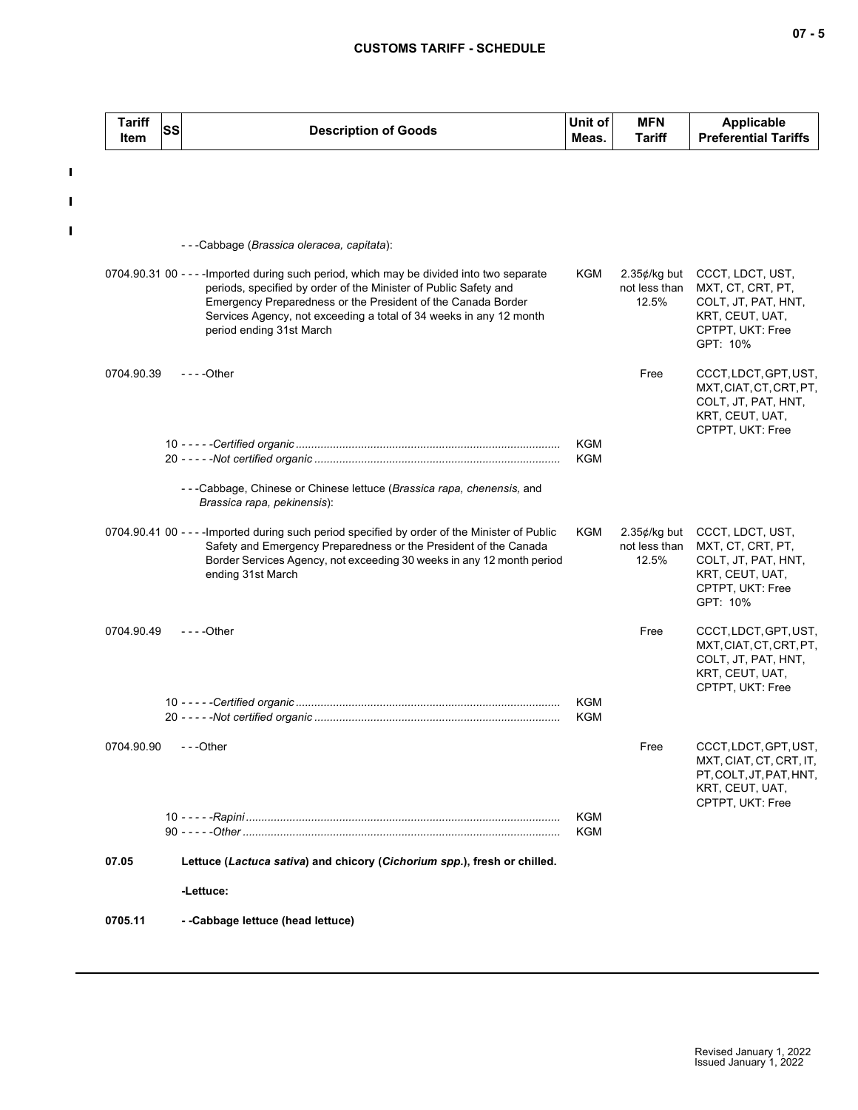$\mathbf I$ 

 $\mathbf{I}$ 

 $\blacksquare$ 

| <b>Tariff</b><br>Item | SS | <b>Description of Goods</b>                                                                                                                                                                                                                                                                                                     | Unit of<br>Meas.  | <b>MFN</b><br><b>Tariff</b>               | <b>Applicable</b><br><b>Preferential Tariffs</b>                                                                             |
|-----------------------|----|---------------------------------------------------------------------------------------------------------------------------------------------------------------------------------------------------------------------------------------------------------------------------------------------------------------------------------|-------------------|-------------------------------------------|------------------------------------------------------------------------------------------------------------------------------|
|                       |    |                                                                                                                                                                                                                                                                                                                                 |                   |                                           |                                                                                                                              |
|                       |    | ---Cabbage (Brassica oleracea, capitata):                                                                                                                                                                                                                                                                                       |                   |                                           |                                                                                                                              |
|                       |    | 0704.90.31 00 - - - - Imported during such period, which may be divided into two separate<br>periods, specified by order of the Minister of Public Safety and<br>Emergency Preparedness or the President of the Canada Border<br>Services Agency, not exceeding a total of 34 weeks in any 12 month<br>period ending 31st March | KGM               | $2.35$ ¢/kg but<br>not less than<br>12.5% | CCCT, LDCT, UST,<br>MXT, CT, CRT, PT,<br>COLT, JT, PAT, HNT,<br>KRT, CEUT, UAT,<br>CPTPT, UKT: Free<br>GPT: 10%              |
| 0704.90.39            |    | $--$ Other                                                                                                                                                                                                                                                                                                                      |                   | Free                                      | CCCT, LDCT, GPT, UST,<br>MXT, CIAT, CT, CRT, PT,<br>COLT, JT, PAT, HNT,<br>KRT, CEUT, UAT,<br>CPTPT, UKT: Free               |
|                       |    |                                                                                                                                                                                                                                                                                                                                 | KGM<br>KGM        |                                           |                                                                                                                              |
|                       |    | ---Cabbage, Chinese or Chinese lettuce (Brassica rapa, chenensis, and<br>Brassica rapa, pekinensis):                                                                                                                                                                                                                            |                   |                                           |                                                                                                                              |
|                       |    | 0704.90.41 00 - - - - Imported during such period specified by order of the Minister of Public<br>Safety and Emergency Preparedness or the President of the Canada<br>Border Services Agency, not exceeding 30 weeks in any 12 month period<br>ending 31st March                                                                | KGM               | not less than<br>12.5%                    | 2.35¢/kg but CCCT, LDCT, UST,<br>MXT, CT, CRT, PT,<br>COLT, JT, PAT, HNT,<br>KRT, CEUT, UAT,<br>CPTPT, UKT: Free<br>GPT: 10% |
| 0704.90.49            |    | $--$ Other                                                                                                                                                                                                                                                                                                                      |                   | Free                                      | CCCT, LDCT, GPT, UST,<br>MXT, CIAT, CT, CRT, PT,<br>COLT, JT, PAT, HNT,<br>KRT, CEUT, UAT,<br>CPTPT, UKT: Free               |
|                       |    |                                                                                                                                                                                                                                                                                                                                 | KGM<br><b>KGM</b> |                                           |                                                                                                                              |
| 0704.90.90            |    | ---Other                                                                                                                                                                                                                                                                                                                        |                   | Free                                      | CCCT, LDCT, GPT, UST,<br>MXT, CIAT, CT, CRT, IT,<br>PT, COLT, JT, PAT, HNT,<br>KRT, CEUT, UAT,<br>CPTPT, UKT: Free           |
|                       |    |                                                                                                                                                                                                                                                                                                                                 | KGM<br>KGM        |                                           |                                                                                                                              |
| 07.05                 |    | Lettuce (Lactuca sativa) and chicory (Cichorium spp.), fresh or chilled.                                                                                                                                                                                                                                                        |                   |                                           |                                                                                                                              |
|                       |    | -Lettuce:                                                                                                                                                                                                                                                                                                                       |                   |                                           |                                                                                                                              |
| 0705.11               |    | --Cabbage lettuce (head lettuce)                                                                                                                                                                                                                                                                                                |                   |                                           |                                                                                                                              |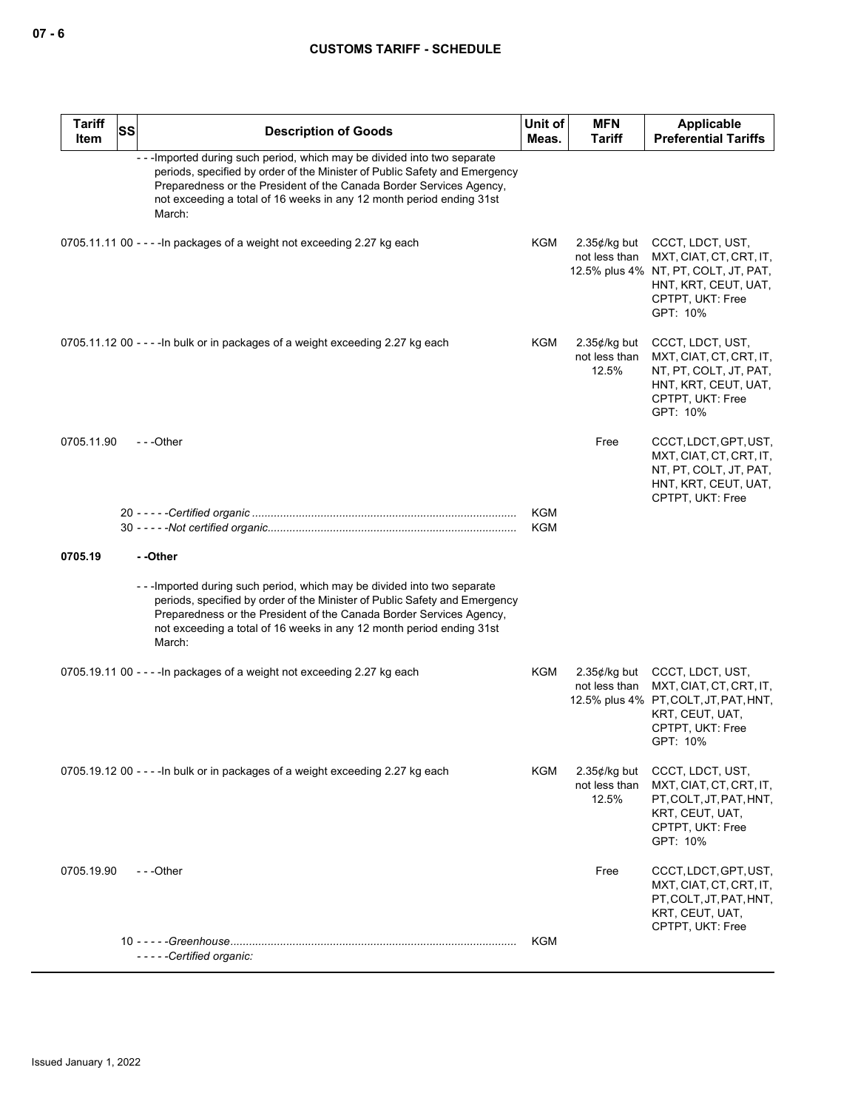| <b>Tariff</b><br>Item | <b>SS</b> | <b>Description of Goods</b>                                                                                                                                                                                                                                                                                      | Unit of<br>Meas.         | <b>MFN</b><br>Tariff                      | Applicable<br><b>Preferential Tariffs</b>                                                                                                   |
|-----------------------|-----------|------------------------------------------------------------------------------------------------------------------------------------------------------------------------------------------------------------------------------------------------------------------------------------------------------------------|--------------------------|-------------------------------------------|---------------------------------------------------------------------------------------------------------------------------------------------|
|                       |           | - - - Imported during such period, which may be divided into two separate<br>periods, specified by order of the Minister of Public Safety and Emergency<br>Preparedness or the President of the Canada Border Services Agency,<br>not exceeding a total of 16 weeks in any 12 month period ending 31st<br>March: |                          |                                           |                                                                                                                                             |
|                       |           | 0705.11.11 00 - - - - In packages of a weight not exceeding 2.27 kg each                                                                                                                                                                                                                                         | KGM                      | $2.35¢/kg$ but<br>not less than           | CCCT, LDCT, UST,<br>MXT, CIAT, CT, CRT, IT,<br>12.5% plus 4% NT, PT, COLT, JT, PAT,<br>HNT, KRT, CEUT, UAT,<br>CPTPT, UKT: Free<br>GPT: 10% |
|                       |           | 0705.11.12 00 - - - - In bulk or in packages of a weight exceeding 2.27 kg each                                                                                                                                                                                                                                  | KGM                      | $2.35$ ¢/kg but<br>not less than<br>12.5% | CCCT, LDCT, UST,<br>MXT, CIAT, CT, CRT, IT,<br>NT, PT, COLT, JT, PAT,<br>HNT, KRT, CEUT, UAT,<br>CPTPT, UKT: Free<br>GPT: 10%               |
| 0705.11.90            |           | $- -$ Other                                                                                                                                                                                                                                                                                                      |                          | Free                                      | CCCT, LDCT, GPT, UST,<br>MXT, CIAT, CT, CRT, IT,<br>NT, PT, COLT, JT, PAT,<br>HNT, KRT, CEUT, UAT,<br>CPTPT, UKT: Free                      |
|                       |           |                                                                                                                                                                                                                                                                                                                  | <b>KGM</b><br><b>KGM</b> |                                           |                                                                                                                                             |
| 0705.19               |           | --Other                                                                                                                                                                                                                                                                                                          |                          |                                           |                                                                                                                                             |
|                       |           | ---Imported during such period, which may be divided into two separate<br>periods, specified by order of the Minister of Public Safety and Emergency<br>Preparedness or the President of the Canada Border Services Agency,<br>not exceeding a total of 16 weeks in any 12 month period ending 31st<br>March:    |                          |                                           |                                                                                                                                             |
|                       |           | 0705.19.11 00 - - - - In packages of a weight not exceeding 2.27 kg each                                                                                                                                                                                                                                         | KGM                      | $2.35$ ¢/kg but<br>not less than          | CCCT, LDCT, UST,<br>MXT, CIAT, CT, CRT, IT,<br>12.5% plus 4% PT, COLT, JT, PAT, HNT,<br>KRT, CEUT, UAT,<br>CPTPT, UKT: Free<br>GPT: 10%     |
|                       |           | 0705.19.12 00 - - - - In bulk or in packages of a weight exceeding 2.27 kg each                                                                                                                                                                                                                                  | KGM                      | $2.35$ ¢/kg but<br>not less than<br>12.5% | CCCT, LDCT, UST,<br>MXT, CIAT, CT, CRT, IT,<br>PT, COLT, JT, PAT, HNT,<br>KRT, CEUT, UAT,<br>CPTPT, UKT: Free<br>GPT: 10%                   |
| 0705.19.90            |           | ---Other                                                                                                                                                                                                                                                                                                         |                          | Free                                      | CCCT, LDCT, GPT, UST,<br>MXT, CIAT, CT, CRT, IT,<br>PT, COLT, JT, PAT, HNT,<br>KRT, CEUT, UAT,<br>CPTPT, UKT: Free                          |
|                       |           | -----Certified organic:                                                                                                                                                                                                                                                                                          | KGM                      |                                           |                                                                                                                                             |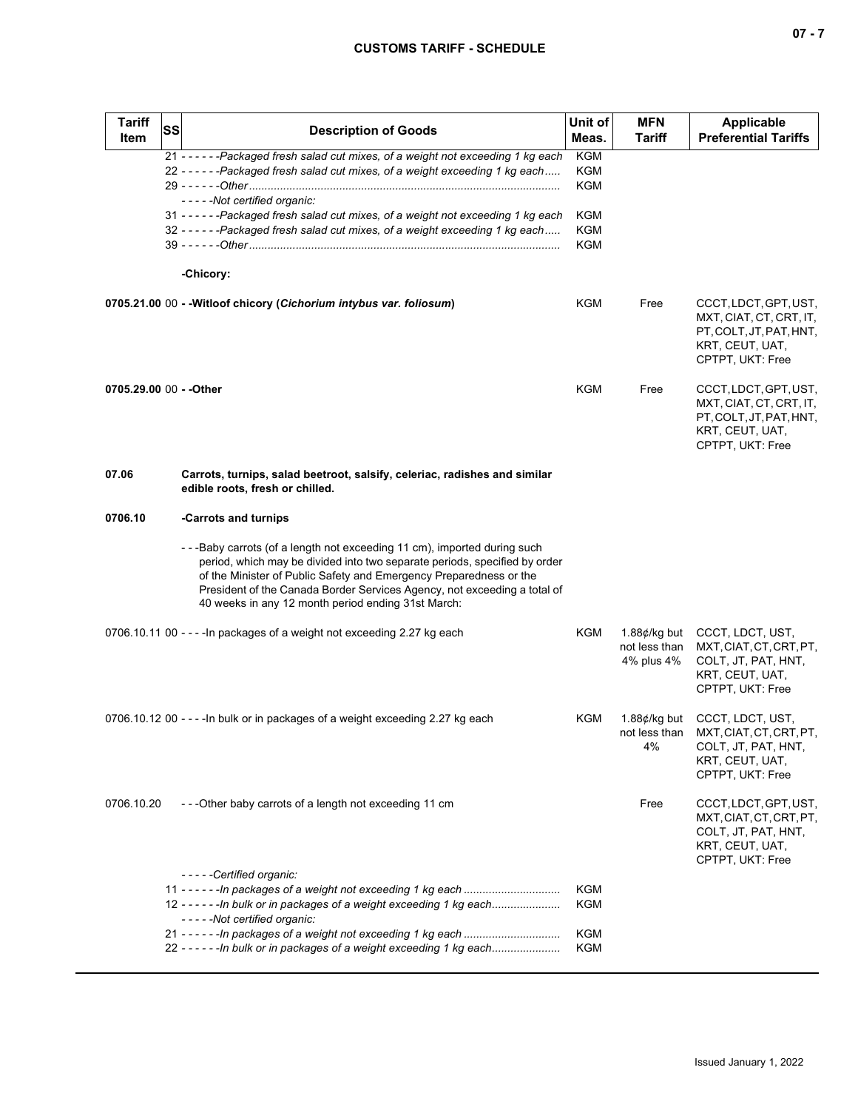| ×<br>۰. |  |  |
|---------|--|--|
|---------|--|--|

| <b>Tariff</b><br><b>Item</b> | <b>SS</b><br><b>Description of Goods</b>                                                                                                                                                                                                                                                                                                                     | Unit of<br>Meas.                | <b>MFN</b><br><b>Tariff</b>                   | <b>Applicable</b><br><b>Preferential Tariffs</b>                                                                   |
|------------------------------|--------------------------------------------------------------------------------------------------------------------------------------------------------------------------------------------------------------------------------------------------------------------------------------------------------------------------------------------------------------|---------------------------------|-----------------------------------------------|--------------------------------------------------------------------------------------------------------------------|
|                              | 21 - - - - - - Packaged fresh salad cut mixes, of a weight not exceeding 1 kg each<br>22 - - - - - - Packaged fresh salad cut mixes, of a weight exceeding 1 kg each<br>-----Not certified organic:                                                                                                                                                          | <b>KGM</b><br><b>KGM</b><br>KGM |                                               |                                                                                                                    |
|                              | 31 - - - - - - Packaged fresh salad cut mixes, of a weight not exceeding 1 kg each<br>32 - - - - - - Packaged fresh salad cut mixes, of a weight exceeding 1 kg each                                                                                                                                                                                         | KGM<br>KGM<br>KGM               |                                               |                                                                                                                    |
|                              | -Chicory:                                                                                                                                                                                                                                                                                                                                                    |                                 |                                               |                                                                                                                    |
|                              | 0705.21.00 00 - - Witloof chicory (Cichorium intybus var. foliosum)                                                                                                                                                                                                                                                                                          | KGM                             | Free                                          | CCCT, LDCT, GPT, UST,<br>MXT, CIAT, CT, CRT, IT,<br>PT, COLT, JT, PAT, HNT,<br>KRT, CEUT, UAT,<br>CPTPT, UKT: Free |
| 0705.29.00 00 - - Other      |                                                                                                                                                                                                                                                                                                                                                              | KGM                             | Free                                          | CCCT, LDCT, GPT, UST,<br>MXT, CIAT, CT, CRT, IT,<br>PT, COLT, JT, PAT, HNT,<br>KRT, CEUT, UAT,<br>CPTPT, UKT: Free |
| 07.06                        | Carrots, turnips, salad beetroot, salsify, celeriac, radishes and similar<br>edible roots, fresh or chilled.                                                                                                                                                                                                                                                 |                                 |                                               |                                                                                                                    |
| 0706.10                      | -Carrots and turnips                                                                                                                                                                                                                                                                                                                                         |                                 |                                               |                                                                                                                    |
|                              | --Baby carrots (of a length not exceeding 11 cm), imported during such<br>period, which may be divided into two separate periods, specified by order<br>of the Minister of Public Safety and Emergency Preparedness or the<br>President of the Canada Border Services Agency, not exceeding a total of<br>40 weeks in any 12 month period ending 31st March: |                                 |                                               |                                                                                                                    |
|                              | 0706.10.11 00 - - - - In packages of a weight not exceeding 2.27 kg each                                                                                                                                                                                                                                                                                     | KGM                             | 1.88¢/kg but<br>not less than<br>4% plus 4%   | CCCT, LDCT, UST,<br>MXT, CIAT, CT, CRT, PT,<br>COLT, JT, PAT, HNT,<br>KRT, CEUT, UAT,<br>CPTPT, UKT: Free          |
|                              | 0706.10.12 00 - - - - In bulk or in packages of a weight exceeding 2.27 kg each                                                                                                                                                                                                                                                                              | KGM                             | 1.88 $\not\in$ /kg but<br>not less than<br>4% | CCCT, LDCT, UST,<br>MXT, CIAT, CT, CRT, PT,<br>COLT, JT, PAT, HNT,<br>KRT, CEUT, UAT,<br>CPTPT, UKT: Free          |
| 0706.10.20                   | ---Other baby carrots of a length not exceeding 11 cm                                                                                                                                                                                                                                                                                                        |                                 | Free                                          | CCCT, LDCT, GPT, UST,<br>MXT, CIAT, CT, CRT, PT,<br>COLT, JT, PAT, HNT,<br>KRT, CEUT, UAT,<br>CPTPT, UKT: Free     |
|                              | -----Certified organic:                                                                                                                                                                                                                                                                                                                                      | KGM                             |                                               |                                                                                                                    |
|                              | 12 - - - - - - In bulk or in packages of a weight exceeding 1 kg each<br>-----Not certified organic:                                                                                                                                                                                                                                                         | <b>KGM</b>                      |                                               |                                                                                                                    |
|                              | 22 - - - - - - In bulk or in packages of a weight exceeding 1 kg each                                                                                                                                                                                                                                                                                        | <b>KGM</b><br><b>KGM</b>        |                                               |                                                                                                                    |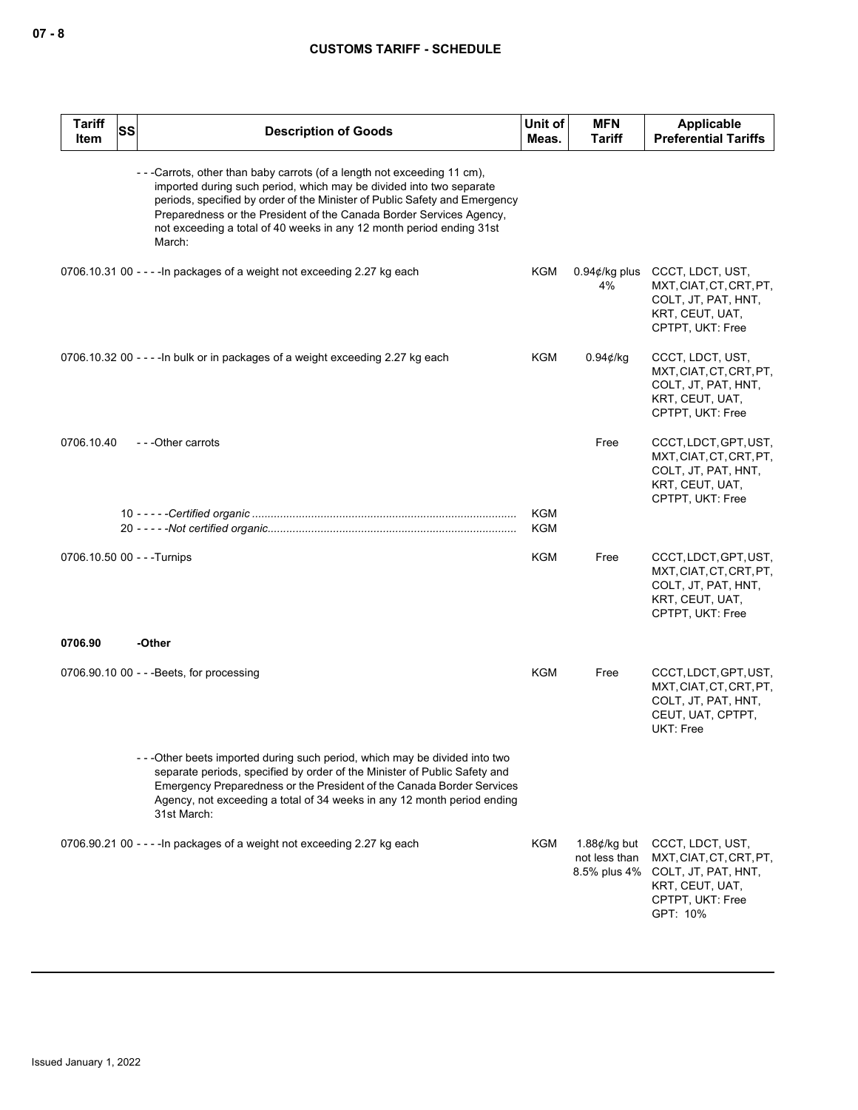| <b>Tariff</b><br>Item | SS | <b>Description of Goods</b>                                                                                                                                                                                                                                                                                                                                                          | Unit of<br>Meas.  | <b>MFN</b><br>Tariff                                    | <b>Applicable</b><br><b>Preferential Tariffs</b>                                                                      |
|-----------------------|----|--------------------------------------------------------------------------------------------------------------------------------------------------------------------------------------------------------------------------------------------------------------------------------------------------------------------------------------------------------------------------------------|-------------------|---------------------------------------------------------|-----------------------------------------------------------------------------------------------------------------------|
|                       |    | ---Carrots, other than baby carrots (of a length not exceeding 11 cm),<br>imported during such period, which may be divided into two separate<br>periods, specified by order of the Minister of Public Safety and Emergency<br>Preparedness or the President of the Canada Border Services Agency,<br>not exceeding a total of 40 weeks in any 12 month period ending 31st<br>March: |                   |                                                         |                                                                                                                       |
|                       |    | 0706.10.31 00 - - - - In packages of a weight not exceeding 2.27 kg each                                                                                                                                                                                                                                                                                                             | KGM               | $0.94¢$ /kg plus<br>4%                                  | CCCT, LDCT, UST,<br>MXT, CIAT, CT, CRT, PT,<br>COLT, JT, PAT, HNT,<br>KRT, CEUT, UAT,<br>CPTPT, UKT: Free             |
|                       |    | 0706.10.32 00 - - - - In bulk or in packages of a weight exceeding 2.27 kg each                                                                                                                                                                                                                                                                                                      | KGM               | 0.94¢/kg                                                | CCCT, LDCT, UST,<br>MXT, CIAT, CT, CRT, PT,<br>COLT, JT, PAT, HNT,<br>KRT, CEUT, UAT,<br>CPTPT, UKT: Free             |
| 0706.10.40            |    | ---Other carrots                                                                                                                                                                                                                                                                                                                                                                     |                   | Free                                                    | CCCT, LDCT, GPT, UST,<br>MXT, CIAT, CT, CRT, PT,<br>COLT, JT, PAT, HNT,<br>KRT, CEUT, UAT,<br>CPTPT, UKT: Free        |
|                       |    |                                                                                                                                                                                                                                                                                                                                                                                      | <b>KGM</b><br>KGM |                                                         |                                                                                                                       |
|                       |    | 0706.10.50 00 - - - Turnips                                                                                                                                                                                                                                                                                                                                                          | KGM               | Free                                                    | CCCT, LDCT, GPT, UST,<br>MXT, CIAT, CT, CRT, PT,<br>COLT, JT, PAT, HNT,<br>KRT, CEUT, UAT,<br>CPTPT, UKT: Free        |
| 0706.90               |    | -Other                                                                                                                                                                                                                                                                                                                                                                               |                   |                                                         |                                                                                                                       |
|                       |    | $0706.90.100 - - Beets$ , for processing                                                                                                                                                                                                                                                                                                                                             | KGM               | Free                                                    | CCCT, LDCT, GPT, UST,<br>MXT, CIAT, CT, CRT, PT,<br>COLT, JT, PAT, HNT,<br>CEUT, UAT, CPTPT,<br>UKT: Free             |
|                       |    | -- - Other beets imported during such period, which may be divided into two<br>separate periods, specified by order of the Minister of Public Safety and<br>Emergency Preparedness or the President of the Canada Border Services<br>Agency, not exceeding a total of 34 weeks in any 12 month period ending<br>31st March:                                                          |                   |                                                         |                                                                                                                       |
|                       |    | 0706.90.21 00 - - - - In packages of a weight not exceeding 2.27 kg each                                                                                                                                                                                                                                                                                                             | KGM               | 1.88 $\not\in$ /kg but<br>not less than<br>8.5% plus 4% | CCCT, LDCT, UST,<br>MXT, CIAT, CT, CRT, PT,<br>COLT, JT, PAT, HNT,<br>KRT, CEUT, UAT,<br>CPTPT, UKT: Free<br>GPT: 10% |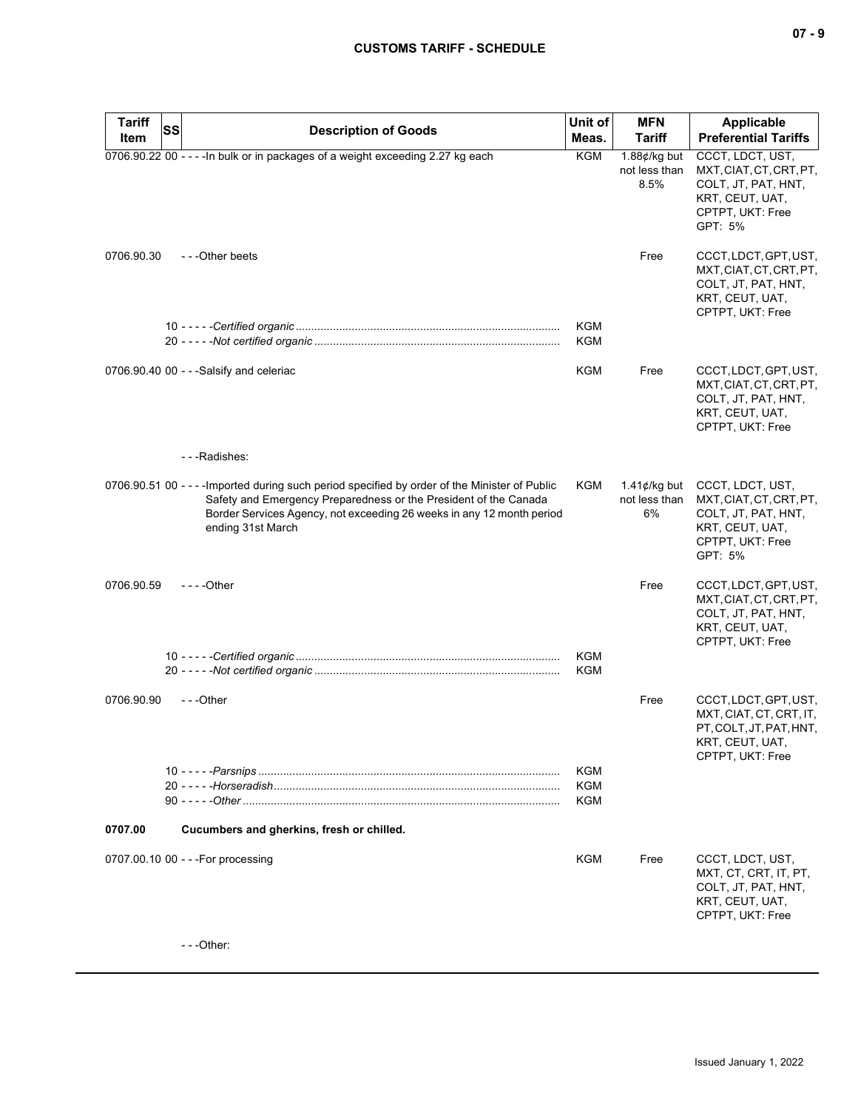| <b>Tariff</b> | SS<br><b>Description of Goods</b>                                                                                                                                                                                                                                | Unit of           | <b>MFN</b>                                      | <b>Applicable</b>                                                                                                    |
|---------------|------------------------------------------------------------------------------------------------------------------------------------------------------------------------------------------------------------------------------------------------------------------|-------------------|-------------------------------------------------|----------------------------------------------------------------------------------------------------------------------|
| Item          |                                                                                                                                                                                                                                                                  | Meas.             | <b>Tariff</b>                                   | <b>Preferential Tariffs</b>                                                                                          |
|               | 0706.90.22 00 - - - - In bulk or in packages of a weight exceeding 2.27 kg each                                                                                                                                                                                  | KGM               | 1.88 $\not\in$ /kg but<br>not less than<br>8.5% | CCCT, LDCT, UST,<br>MXT, CIAT, CT, CRT, PT,<br>COLT, JT, PAT, HNT,<br>KRT, CEUT, UAT,<br>CPTPT, UKT: Free<br>GPT: 5% |
| 0706.90.30    | - - - Other beets                                                                                                                                                                                                                                                | KGM               | Free                                            | CCCT, LDCT, GPT, UST,<br>MXT, CIAT, CT, CRT, PT,<br>COLT, JT, PAT, HNT,<br>KRT, CEUT, UAT,<br>CPTPT, UKT: Free       |
|               |                                                                                                                                                                                                                                                                  | <b>KGM</b>        |                                                 |                                                                                                                      |
|               | 0706.90.40 00 - - - Salsify and celeriac                                                                                                                                                                                                                         | KGM               | Free                                            | CCCT, LDCT, GPT, UST,<br>MXT, CIAT, CT, CRT, PT,<br>COLT, JT, PAT, HNT,<br>KRT, CEUT, UAT,<br>CPTPT, UKT: Free       |
|               | - - - Radishes:                                                                                                                                                                                                                                                  |                   |                                                 |                                                                                                                      |
|               | 0706.90.51 00 - - - - Imported during such period specified by order of the Minister of Public<br>Safety and Emergency Preparedness or the President of the Canada<br>Border Services Agency, not exceeding 26 weeks in any 12 month period<br>ending 31st March | KGM               | 1.41 $\not\in$ /kg but<br>not less than<br>6%   | CCCT, LDCT, UST,<br>MXT, CIAT, CT, CRT, PT,<br>COLT, JT, PAT, HNT,<br>KRT, CEUT, UAT,<br>CPTPT, UKT: Free<br>GPT: 5% |
| 0706.90.59    | $--$ Other                                                                                                                                                                                                                                                       |                   | Free                                            | CCCT, LDCT, GPT, UST,<br>MXT, CIAT, CT, CRT, PT,<br>COLT, JT, PAT, HNT,<br>KRT, CEUT, UAT,<br>CPTPT, UKT: Free       |
|               |                                                                                                                                                                                                                                                                  | <b>KGM</b><br>KGM |                                                 |                                                                                                                      |
| 0706.90.90    | ---Other                                                                                                                                                                                                                                                         |                   | Free                                            | CCCT, LDCT, GPT, UST,<br>MXT, CIAT, CT, CRT, IT,<br>PT, COLT, JT, PAT, HNT,<br>KRT, CEUT, UAT,<br>CPTPT, UKT: Free   |
|               |                                                                                                                                                                                                                                                                  | KGM<br>KGM<br>KGM |                                                 |                                                                                                                      |
|               |                                                                                                                                                                                                                                                                  |                   |                                                 |                                                                                                                      |
| 0707.00       | Cucumbers and gherkins, fresh or chilled.                                                                                                                                                                                                                        |                   |                                                 |                                                                                                                      |
|               | 0707.00.10 00 - - - For processing                                                                                                                                                                                                                               | KGM               | Free                                            | CCCT, LDCT, UST,<br>MXT, CT, CRT, IT, PT,<br>COLT, JT, PAT, HNT,<br>KRT, CEUT, UAT,<br>CPTPT, UKT: Free              |
|               | $- -$ Other:                                                                                                                                                                                                                                                     |                   |                                                 |                                                                                                                      |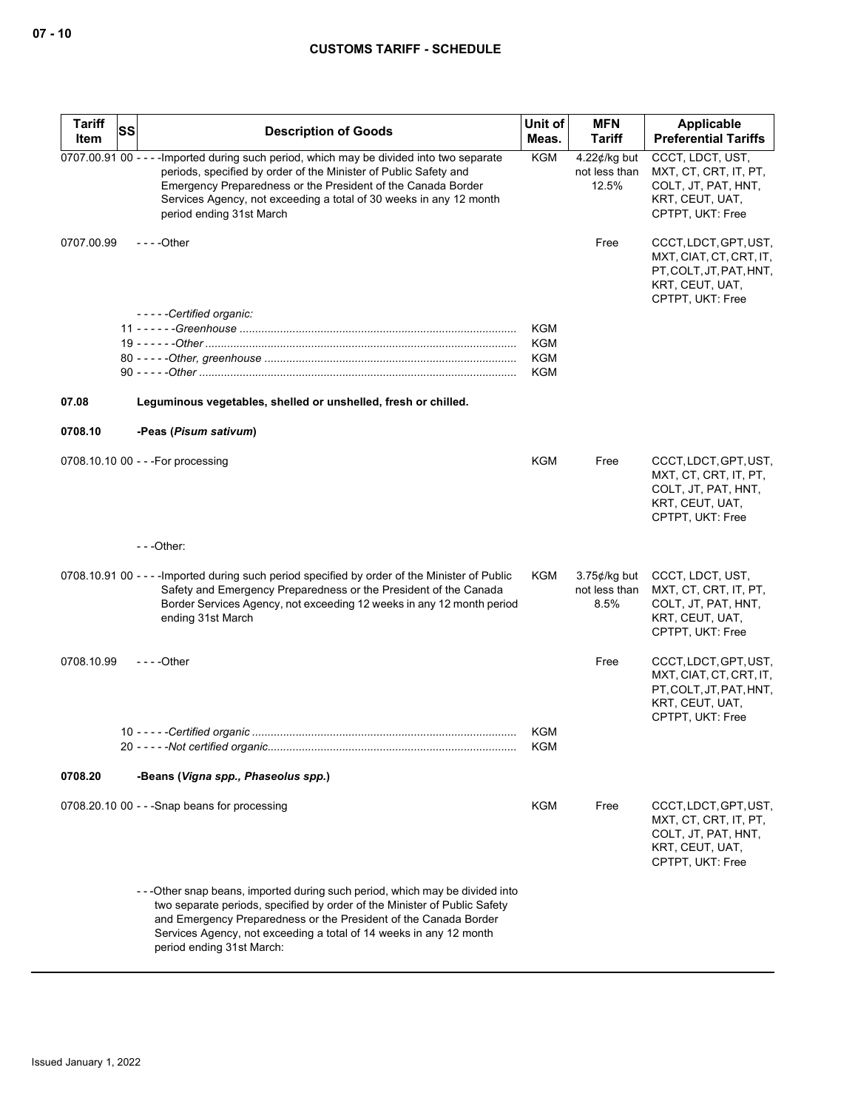| <b>Tariff</b> | <b>SS</b> | <b>Description of Goods</b>                                                                                                                                                                                                                                                                                                       | Unit of           | <b>MFN</b>                                | Applicable                                                                                                         |
|---------------|-----------|-----------------------------------------------------------------------------------------------------------------------------------------------------------------------------------------------------------------------------------------------------------------------------------------------------------------------------------|-------------------|-------------------------------------------|--------------------------------------------------------------------------------------------------------------------|
| Item          |           |                                                                                                                                                                                                                                                                                                                                   | Meas.             | <b>Tariff</b>                             | <b>Preferential Tariffs</b>                                                                                        |
|               |           | 0707.00.91 00 - - - - Imported during such period, which may be divided into two separate<br>periods, specified by order of the Minister of Public Safety and<br>Emergency Preparedness or the President of the Canada Border<br>Services Agency, not exceeding a total of 30 weeks in any 12 month<br>period ending 31st March   | <b>KGM</b>        | $4.22$ ¢/kg but<br>not less than<br>12.5% | CCCT, LDCT, UST,<br>MXT, CT, CRT, IT, PT,<br>COLT, JT, PAT, HNT,<br>KRT, CEUT, UAT,<br>CPTPT, UKT: Free            |
| 0707.00.99    |           | $--$ Other                                                                                                                                                                                                                                                                                                                        |                   | Free                                      | CCCT, LDCT, GPT, UST,<br>MXT, CIAT, CT, CRT, IT,<br>PT, COLT, JT, PAT, HNT,<br>KRT, CEUT, UAT,<br>CPTPT, UKT: Free |
|               |           | -----Certified organic:                                                                                                                                                                                                                                                                                                           |                   |                                           |                                                                                                                    |
|               |           |                                                                                                                                                                                                                                                                                                                                   | <b>KGM</b><br>KGM |                                           |                                                                                                                    |
|               |           |                                                                                                                                                                                                                                                                                                                                   | <b>KGM</b>        |                                           |                                                                                                                    |
|               |           |                                                                                                                                                                                                                                                                                                                                   | <b>KGM</b>        |                                           |                                                                                                                    |
| 07.08         |           | Leguminous vegetables, shelled or unshelled, fresh or chilled.                                                                                                                                                                                                                                                                    |                   |                                           |                                                                                                                    |
| 0708.10       |           | -Peas (Pisum sativum)                                                                                                                                                                                                                                                                                                             |                   |                                           |                                                                                                                    |
|               |           | 0708.10.10 00 - - - For processing                                                                                                                                                                                                                                                                                                | <b>KGM</b>        | Free                                      | CCCT, LDCT, GPT, UST,<br>MXT, CT, CRT, IT, PT,<br>COLT, JT, PAT, HNT,<br>KRT, CEUT, UAT,<br>CPTPT, UKT: Free       |
|               |           | $--$ Other:                                                                                                                                                                                                                                                                                                                       |                   |                                           |                                                                                                                    |
|               |           | 0708.10.91 00 - - - - Imported during such period specified by order of the Minister of Public<br>Safety and Emergency Preparedness or the President of the Canada<br>Border Services Agency, not exceeding 12 weeks in any 12 month period<br>ending 31st March                                                                  | KGM               | $3.75$ ¢/kg but<br>not less than<br>8.5%  | CCCT, LDCT, UST,<br>MXT, CT, CRT, IT, PT,<br>COLT, JT, PAT, HNT,<br>KRT, CEUT, UAT,<br>CPTPT, UKT: Free            |
| 0708.10.99    |           | $--$ Other                                                                                                                                                                                                                                                                                                                        |                   | Free                                      | CCCT, LDCT, GPT, UST,<br>MXT, CIAT, CT, CRT, IT,<br>PT, COLT, JT, PAT, HNT,<br>KRT, CEUT, UAT,<br>CPTPT, UKT: Free |
|               |           |                                                                                                                                                                                                                                                                                                                                   | KGM<br><b>KGM</b> |                                           |                                                                                                                    |
| 0708.20       |           | -Beans (Vigna spp., Phaseolus spp.)                                                                                                                                                                                                                                                                                               |                   |                                           |                                                                                                                    |
|               |           | $0708.20.100$ - - -Snap beans for processing                                                                                                                                                                                                                                                                                      | KGM               | Free                                      | CCCT, LDCT, GPT, UST,<br>MXT, CT, CRT, IT, PT,<br>COLT, JT, PAT, HNT,<br>KRT, CEUT, UAT,<br>CPTPT, UKT: Free       |
|               |           | -- - Other snap beans, imported during such period, which may be divided into<br>two separate periods, specified by order of the Minister of Public Safety<br>and Emergency Preparedness or the President of the Canada Border<br>Services Agency, not exceeding a total of 14 weeks in any 12 month<br>period ending 31st March: |                   |                                           |                                                                                                                    |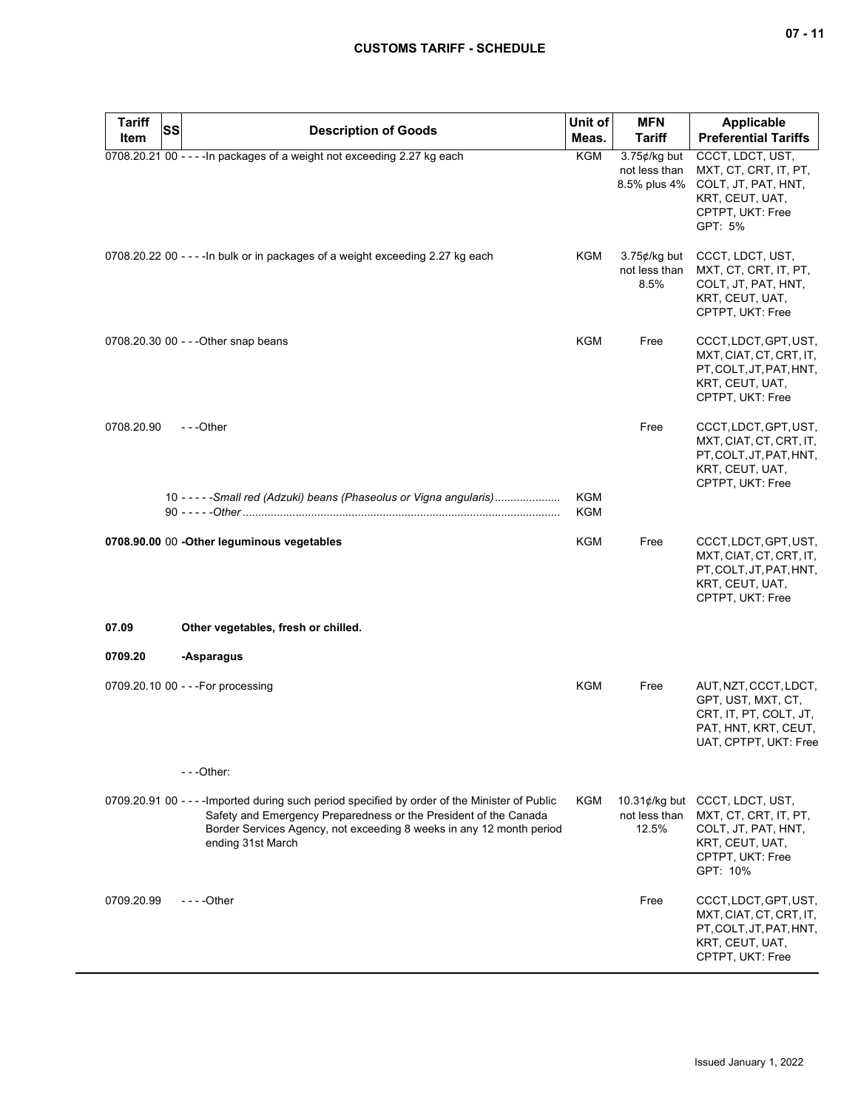| Tariff<br>Item | <b>SS</b><br><b>Description of Goods</b>                                                                                                                                                                                                                        | Unit of<br>Meas.         | <b>MFN</b><br><b>Tariff</b>                      | <b>Applicable</b><br><b>Preferential Tariffs</b>                                                                       |
|----------------|-----------------------------------------------------------------------------------------------------------------------------------------------------------------------------------------------------------------------------------------------------------------|--------------------------|--------------------------------------------------|------------------------------------------------------------------------------------------------------------------------|
|                | 0708.20.21 00 - - - - In packages of a weight not exceeding 2.27 kg each                                                                                                                                                                                        | KGM                      | $3.75$ ¢/kg but<br>not less than<br>8.5% plus 4% | CCCT, LDCT, UST,<br>MXT, CT, CRT, IT, PT,<br>COLT, JT, PAT, HNT,<br>KRT, CEUT, UAT,<br>CPTPT, UKT: Free<br>GPT: 5%     |
|                | 0708.20.22 00 - - - - In bulk or in packages of a weight exceeding 2.27 kg each                                                                                                                                                                                 | KGM                      | $3.75$ ¢/kg but<br>not less than<br>8.5%         | CCCT, LDCT, UST,<br>MXT, CT, CRT, IT, PT,<br>COLT, JT, PAT, HNT,<br>KRT, CEUT, UAT,<br>CPTPT, UKT: Free                |
|                | 0708.20.30 00 - - - Other snap beans                                                                                                                                                                                                                            | KGM                      | Free                                             | CCCT, LDCT, GPT, UST,<br>MXT, CIAT, CT, CRT, IT,<br>PT, COLT, JT, PAT, HNT,<br>KRT, CEUT, UAT,<br>CPTPT, UKT: Free     |
| 0708.20.90     | $- -$ Other                                                                                                                                                                                                                                                     |                          | Free                                             | CCCT, LDCT, GPT, UST,<br>MXT, CIAT, CT, CRT, IT,<br>PT, COLT, JT, PAT, HNT,<br>KRT, CEUT, UAT,<br>CPTPT, UKT: Free     |
|                | 10 - - - - - Small red (Adzuki) beans (Phaseolus or Vigna angularis)                                                                                                                                                                                            | <b>KGM</b><br><b>KGM</b> |                                                  |                                                                                                                        |
|                | 0708.90.00 00 -Other leguminous vegetables                                                                                                                                                                                                                      | KGM                      | Free                                             | CCCT, LDCT, GPT, UST,<br>MXT, CIAT, CT, CRT, IT,<br>PT, COLT, JT, PAT, HNT,<br>KRT, CEUT, UAT,<br>CPTPT, UKT: Free     |
| 07.09          | Other vegetables, fresh or chilled.                                                                                                                                                                                                                             |                          |                                                  |                                                                                                                        |
| 0709.20        | -Asparagus                                                                                                                                                                                                                                                      |                          |                                                  |                                                                                                                        |
|                | 0709.20.10 00 - - - For processing                                                                                                                                                                                                                              | <b>KGM</b>               | Free                                             | AUT, NZT, CCCT, LDCT,<br>GPT, UST, MXT, CT,<br>CRT, IT, PT, COLT, JT,<br>PAT, HNT, KRT, CEUT,<br>UAT, CPTPT, UKT: Free |
|                | $- -$ Other:                                                                                                                                                                                                                                                    |                          |                                                  |                                                                                                                        |
|                | 0709.20.91 00 - - - - Imported during such period specified by order of the Minister of Public<br>Safety and Emergency Preparedness or the President of the Canada<br>Border Services Agency, not exceeding 8 weeks in any 12 month period<br>ending 31st March | KGM                      | 10.31 $\phi$ /kg but<br>not less than<br>12.5%   | CCCT, LDCT, UST,<br>MXT, CT, CRT, IT, PT,<br>COLT, JT, PAT, HNT,<br>KRT, CEUT, UAT,<br>CPTPT, UKT: Free<br>GPT: 10%    |
| 0709.20.99     | - - - - Other                                                                                                                                                                                                                                                   |                          | Free                                             | CCCT, LDCT, GPT, UST,<br>MXT, CIAT, CT, CRT, IT,<br>PT, COLT, JT, PAT, HNT,<br>KRT, CEUT, UAT,<br>CPTPT, UKT: Free     |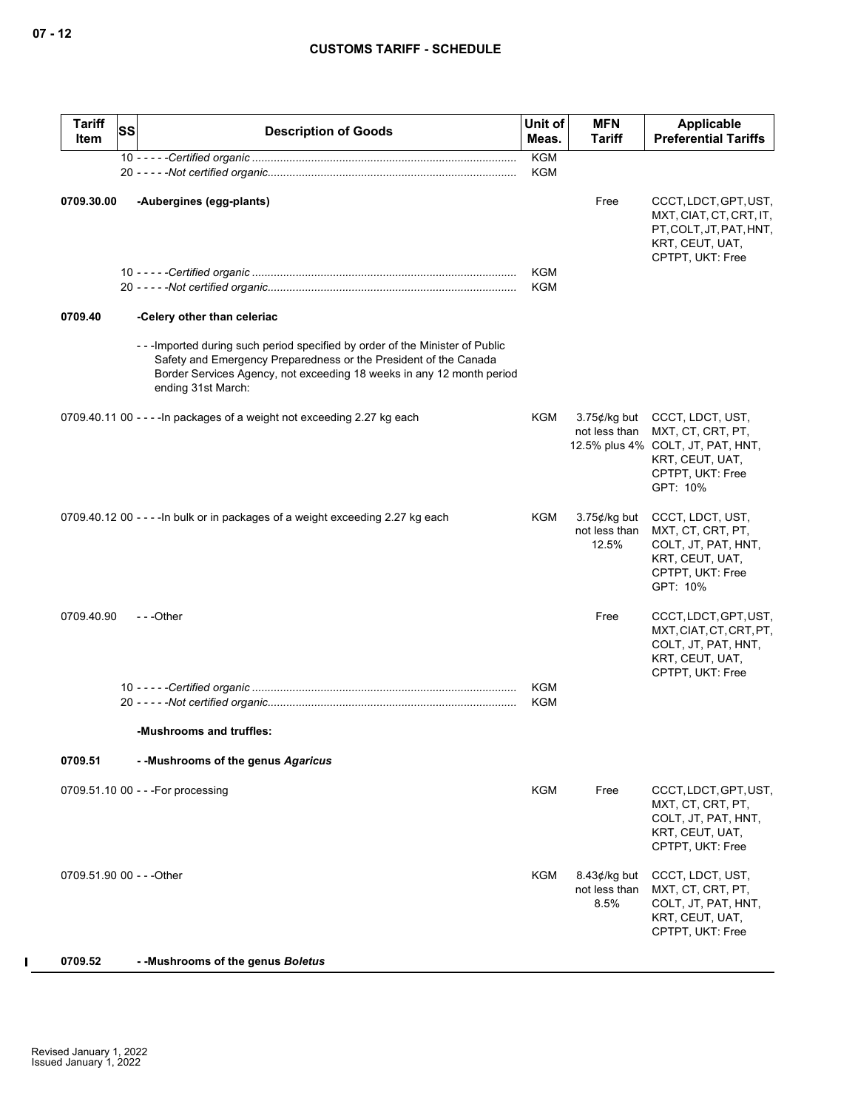| <b>Tariff</b><br>Item     | <b>SS</b> | <b>Description of Goods</b>                                                                                                                                                                                                                     | Unit of<br>Meas.         | <b>MFN</b><br><b>Tariff</b>               | Applicable<br><b>Preferential Tariffs</b>                                                                                     |
|---------------------------|-----------|-------------------------------------------------------------------------------------------------------------------------------------------------------------------------------------------------------------------------------------------------|--------------------------|-------------------------------------------|-------------------------------------------------------------------------------------------------------------------------------|
|                           |           |                                                                                                                                                                                                                                                 | <b>KGM</b><br><b>KGM</b> |                                           |                                                                                                                               |
| 0709.30.00                |           | -Aubergines (egg-plants)                                                                                                                                                                                                                        |                          | Free                                      | CCCT, LDCT, GPT, UST,<br>MXT, CIAT, CT, CRT, IT,<br>PT, COLT, JT, PAT, HNT,<br>KRT, CEUT, UAT,<br>CPTPT, UKT: Free            |
|                           |           |                                                                                                                                                                                                                                                 | KGM                      |                                           |                                                                                                                               |
|                           |           |                                                                                                                                                                                                                                                 | <b>KGM</b>               |                                           |                                                                                                                               |
| 0709.40                   |           | -Celery other than celeriac                                                                                                                                                                                                                     |                          |                                           |                                                                                                                               |
|                           |           | --- Imported during such period specified by order of the Minister of Public<br>Safety and Emergency Preparedness or the President of the Canada<br>Border Services Agency, not exceeding 18 weeks in any 12 month period<br>ending 31st March: |                          |                                           |                                                                                                                               |
|                           |           | 0709.40.11 00 - - - - In packages of a weight not exceeding 2.27 kg each                                                                                                                                                                        | KGM                      | $3.75$ ¢/kg but<br>not less than          | CCCT, LDCT, UST,<br>MXT, CT, CRT, PT,<br>12.5% plus 4% COLT, JT, PAT, HNT,<br>KRT, CEUT, UAT,<br>CPTPT, UKT: Free<br>GPT: 10% |
|                           |           | 0709.40.12 00 - - - - In bulk or in packages of a weight exceeding 2.27 kg each                                                                                                                                                                 | KGM                      | $3.75$ ¢/kg but<br>not less than<br>12.5% | CCCT, LDCT, UST,<br>MXT, CT, CRT, PT,<br>COLT, JT, PAT, HNT,<br>KRT, CEUT, UAT,<br>CPTPT, UKT: Free<br>GPT: 10%               |
| 0709.40.90                |           | $- -$ Other                                                                                                                                                                                                                                     |                          | Free                                      | CCCT, LDCT, GPT, UST,<br>MXT, CIAT, CT, CRT, PT,<br>COLT, JT, PAT, HNT,<br>KRT, CEUT, UAT,<br>CPTPT, UKT: Free                |
|                           |           |                                                                                                                                                                                                                                                 | <b>KGM</b><br><b>KGM</b> |                                           |                                                                                                                               |
|                           |           | -Mushrooms and truffles:                                                                                                                                                                                                                        |                          |                                           |                                                                                                                               |
| 0709.51                   |           | - - Mushrooms of the genus Agaricus                                                                                                                                                                                                             |                          |                                           |                                                                                                                               |
|                           |           | 0709.51.10 00 - - - For processing                                                                                                                                                                                                              | <b>KGM</b>               | Free                                      | CCCT, LDCT, GPT, UST,<br>MXT, CT, CRT, PT,<br>COLT, JT, PAT, HNT,<br>KRT, CEUT, UAT,<br>CPTPT, UKT: Free                      |
| 0709.51.90 00 - - - Other |           |                                                                                                                                                                                                                                                 | KGM                      | $8.43$ ¢/kg but<br>not less than<br>8.5%  | CCCT, LDCT, UST,<br>MXT, CT, CRT, PT,<br>COLT, JT, PAT, HNT,<br>KRT, CEUT, UAT,<br>CPTPT, UKT: Free                           |
| 0709.52                   |           | - - Mushrooms of the genus Boletus                                                                                                                                                                                                              |                          |                                           |                                                                                                                               |

 $\blacksquare$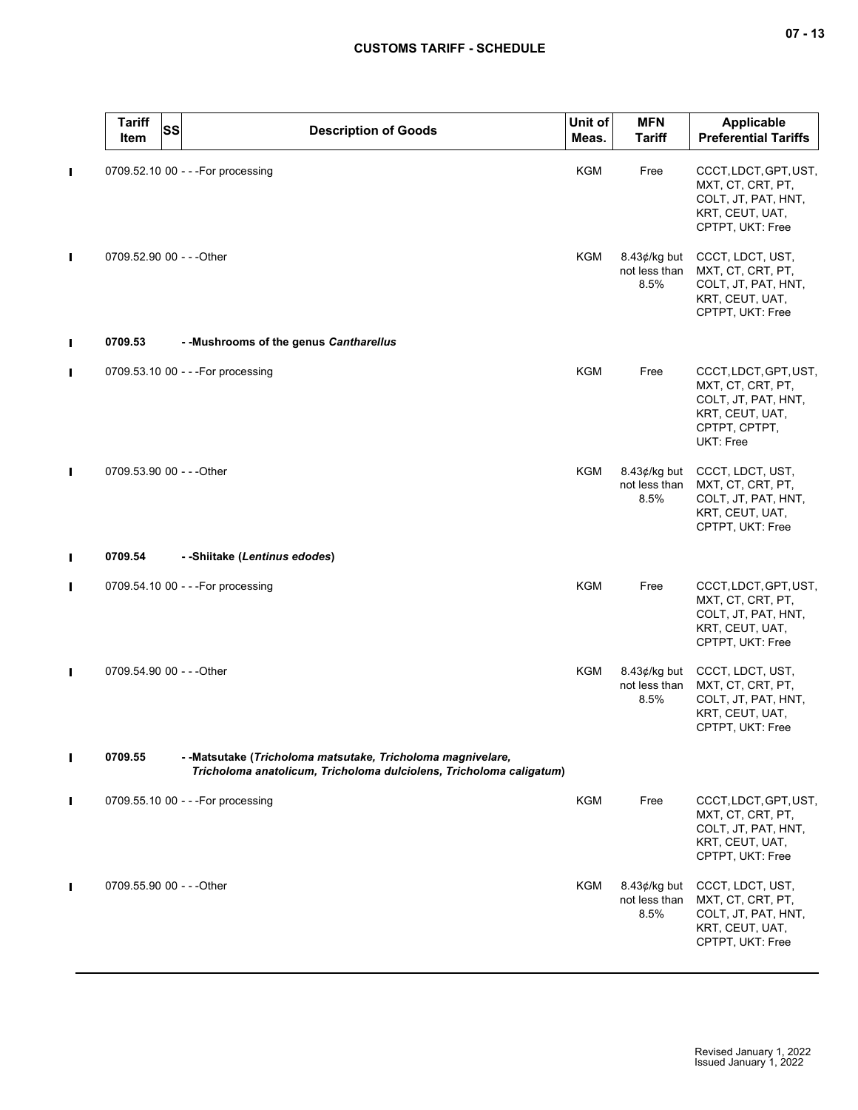|                | <b>Tariff</b><br><b>SS</b><br>Item | <b>Description of Goods</b>                                                                                                         | Unit of<br>Meas. | <b>MFN</b><br><b>Tariff</b>              | Applicable<br><b>Preferential Tariffs</b>                                                                          |
|----------------|------------------------------------|-------------------------------------------------------------------------------------------------------------------------------------|------------------|------------------------------------------|--------------------------------------------------------------------------------------------------------------------|
| П              |                                    | 0709.52.10 00 - - - For processing                                                                                                  | KGM              | Free                                     | CCCT, LDCT, GPT, UST,<br>MXT, CT, CRT, PT,<br>COLT, JT, PAT, HNT,<br>KRT, CEUT, UAT,<br>CPTPT, UKT: Free           |
| $\blacksquare$ | 0709.52.90 00 - - - Other          |                                                                                                                                     | KGM              | $8.43$ ¢/kg but<br>not less than<br>8.5% | CCCT, LDCT, UST,<br>MXT, CT, CRT, PT,<br>COLT, JT, PAT, HNT,<br>KRT, CEUT, UAT,<br>CPTPT, UKT: Free                |
| П              | 0709.53                            | - - Mushrooms of the genus Cantharellus                                                                                             |                  |                                          |                                                                                                                    |
| П              |                                    | 0709.53.10 00 - - - For processing                                                                                                  | KGM              | Free                                     | CCCT, LDCT, GPT, UST,<br>MXT, CT, CRT, PT,<br>COLT, JT, PAT, HNT,<br>KRT, CEUT, UAT,<br>CPTPT, CPTPT,<br>UKT: Free |
| П              | 0709.53.90 00 - - - Other          |                                                                                                                                     | <b>KGM</b>       | $8.43$ ¢/kg but<br>not less than<br>8.5% | CCCT, LDCT, UST,<br>MXT, CT, CRT, PT,<br>COLT, JT, PAT, HNT,<br>KRT, CEUT, UAT,<br>CPTPT, UKT: Free                |
| П              | 0709.54                            | - -Shiitake (Lentinus edodes)                                                                                                       |                  |                                          |                                                                                                                    |
| П              |                                    | 0709.54.10 00 - - - For processing                                                                                                  | <b>KGM</b>       | Free                                     | CCCT, LDCT, GPT, UST,<br>MXT, CT, CRT, PT,<br>COLT, JT, PAT, HNT,<br>KRT, CEUT, UAT,<br>CPTPT, UKT: Free           |
| П              | 0709.54.90 00 - - - Other          |                                                                                                                                     | KGM              | $8.43$ ¢/kg but<br>not less than<br>8.5% | CCCT, LDCT, UST,<br>MXT, CT, CRT, PT,<br>COLT, JT, PAT, HNT,<br>KRT, CEUT, UAT,<br>CPTPT, UKT: Free                |
| $\blacksquare$ | 0709.55                            | - - Matsutake (Tricholoma matsutake, Tricholoma magnivelare,<br>Tricholoma anatolicum, Tricholoma dulciolens, Tricholoma caligatum) |                  |                                          |                                                                                                                    |
| П              |                                    | 0709.55.10 00 - - - For processing                                                                                                  | <b>KGM</b>       | Free                                     | CCCT, LDCT, GPT, UST,<br>MXT, CT, CRT, PT,<br>COLT, JT, PAT, HNT,<br>KRT, CEUT, UAT,<br>CPTPT, UKT: Free           |
| $\blacksquare$ | 0709.55.90 00 - - - Other          |                                                                                                                                     | KGM              | $8.43$ ¢/kg but<br>not less than<br>8.5% | CCCT, LDCT, UST,<br>MXT, CT, CRT, PT,<br>COLT, JT, PAT, HNT,<br>KRT, CEUT, UAT,<br>CPTPT, UKT: Free                |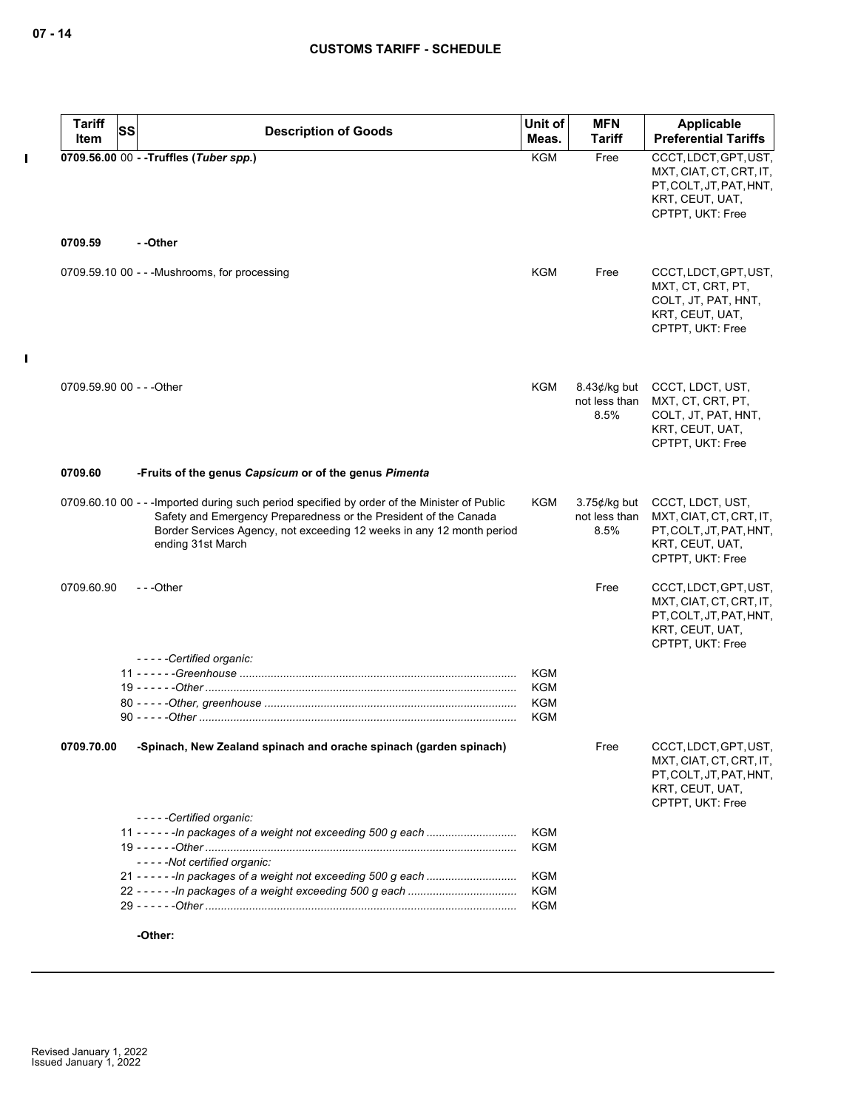$\mathbf I$ 

 $\mathbf{I}$ 

| <b>Tariff</b>             | SS | <b>Description of Goods</b>                                                                                                                                                                                                                                    | Unit of                  | <b>MFN</b>                               | Applicable                                                                                                         |
|---------------------------|----|----------------------------------------------------------------------------------------------------------------------------------------------------------------------------------------------------------------------------------------------------------------|--------------------------|------------------------------------------|--------------------------------------------------------------------------------------------------------------------|
| Item                      |    |                                                                                                                                                                                                                                                                | Meas.                    | <b>Tariff</b>                            | <b>Preferential Tariffs</b>                                                                                        |
|                           |    | 0709.56.00 00 - - Truffles (Tuber spp.)                                                                                                                                                                                                                        | <b>KGM</b>               | Free                                     | CCCT, LDCT, GPT, UST,                                                                                              |
|                           |    |                                                                                                                                                                                                                                                                |                          |                                          | MXT, CIAT, CT, CRT, IT,<br>PT, COLT, JT, PAT, HNT,<br>KRT, CEUT, UAT,<br>CPTPT, UKT: Free                          |
| 0709.59                   |    | - -Other                                                                                                                                                                                                                                                       |                          |                                          |                                                                                                                    |
|                           |    | 0709.59.10 00 - - - Mushrooms, for processing                                                                                                                                                                                                                  | <b>KGM</b>               | Free                                     | CCCT, LDCT, GPT, UST,<br>MXT, CT, CRT, PT,<br>COLT, JT, PAT, HNT,<br>KRT, CEUT, UAT,<br>CPTPT, UKT: Free           |
| 0709.59.90 00 - - - Other |    |                                                                                                                                                                                                                                                                | KGM                      | $8.43$ ¢/kg but                          | CCCT, LDCT, UST,                                                                                                   |
|                           |    |                                                                                                                                                                                                                                                                |                          | not less than<br>8.5%                    | MXT, CT, CRT, PT,<br>COLT, JT, PAT, HNT,<br>KRT, CEUT, UAT,<br>CPTPT, UKT: Free                                    |
| 0709.60                   |    | -Fruits of the genus Capsicum or of the genus Pimenta                                                                                                                                                                                                          |                          |                                          |                                                                                                                    |
|                           |    | 0709.60.10 00 - - - Imported during such period specified by order of the Minister of Public<br>Safety and Emergency Preparedness or the President of the Canada<br>Border Services Agency, not exceeding 12 weeks in any 12 month period<br>ending 31st March | <b>KGM</b>               | $3.75$ ¢/kg but<br>not less than<br>8.5% | CCCT, LDCT, UST,<br>MXT, CIAT, CT, CRT, IT,<br>PT, COLT, JT, PAT, HNT,<br>KRT, CEUT, UAT,<br>CPTPT, UKT: Free      |
| 0709.60.90                |    | ---Other                                                                                                                                                                                                                                                       |                          | Free                                     | CCCT, LDCT, GPT, UST,<br>MXT, CIAT, CT, CRT, IT,<br>PT, COLT, JT, PAT, HNT,<br>KRT, CEUT, UAT,<br>CPTPT, UKT: Free |
|                           |    | -----Certified organic:                                                                                                                                                                                                                                        |                          |                                          |                                                                                                                    |
|                           |    |                                                                                                                                                                                                                                                                | <b>KGM</b>               |                                          |                                                                                                                    |
|                           |    |                                                                                                                                                                                                                                                                | <b>KGM</b>               |                                          |                                                                                                                    |
|                           |    |                                                                                                                                                                                                                                                                | <b>KGM</b>               |                                          |                                                                                                                    |
|                           |    |                                                                                                                                                                                                                                                                | <b>KGM</b>               |                                          |                                                                                                                    |
| 0709.70.00                |    | -Spinach, New Zealand spinach and orache spinach (garden spinach)                                                                                                                                                                                              |                          | Free                                     | CCCT, LDCT, GPT, UST,<br>MXT, CIAT, CT, CRT, IT,<br>PT, COLT, JT, PAT, HNT,<br>KRT, CEUT, UAT,<br>CPTPT, UKT: Free |
|                           |    | -----Certified organic:                                                                                                                                                                                                                                        |                          |                                          |                                                                                                                    |
|                           |    |                                                                                                                                                                                                                                                                | <b>KGM</b><br><b>KGM</b> |                                          |                                                                                                                    |
|                           |    | -----Not certified organic:                                                                                                                                                                                                                                    |                          |                                          |                                                                                                                    |
|                           |    |                                                                                                                                                                                                                                                                | <b>KGM</b>               |                                          |                                                                                                                    |
|                           |    |                                                                                                                                                                                                                                                                | KGM                      |                                          |                                                                                                                    |
|                           |    |                                                                                                                                                                                                                                                                | <b>KGM</b>               |                                          |                                                                                                                    |
|                           |    | -Other:                                                                                                                                                                                                                                                        |                          |                                          |                                                                                                                    |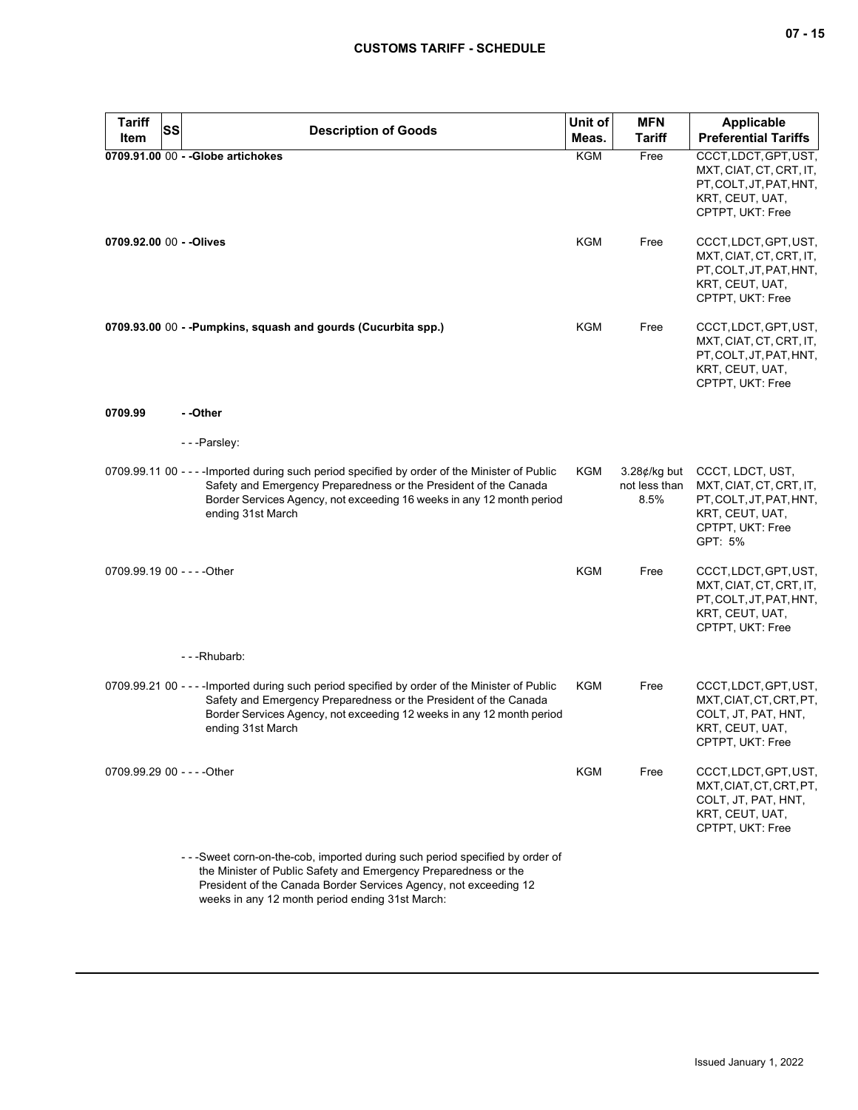| <b>Tariff</b><br><b>SS</b><br>Item | <b>Description of Goods</b>                                                                                                                                                                                                                                          | Unit of<br>Meas. | <b>MFN</b><br><b>Tariff</b>              | <b>Applicable</b><br><b>Preferential Tariffs</b>                                                                         |
|------------------------------------|----------------------------------------------------------------------------------------------------------------------------------------------------------------------------------------------------------------------------------------------------------------------|------------------|------------------------------------------|--------------------------------------------------------------------------------------------------------------------------|
|                                    | 0709.91.00 00 - - Globe artichokes                                                                                                                                                                                                                                   | <b>KGM</b>       | Free                                     | CCCT, LDCT, GPT, UST,<br>MXT, CIAT, CT, CRT, IT,<br>PT.COLT.JT.PAT.HNT.<br>KRT, CEUT, UAT,<br>CPTPT, UKT: Free           |
| 0709.92.00 00 - - Olives           |                                                                                                                                                                                                                                                                      | <b>KGM</b>       | Free                                     | CCCT, LDCT, GPT, UST,<br>MXT, CIAT, CT, CRT, IT,<br>PT, COLT, JT, PAT, HNT,<br>KRT, CEUT, UAT,<br>CPTPT, UKT: Free       |
|                                    | 0709.93.00 00 - -Pumpkins, squash and gourds (Cucurbita spp.)                                                                                                                                                                                                        | KGM              | Free                                     | CCCT, LDCT, GPT, UST,<br>MXT, CIAT, CT, CRT, IT,<br>PT, COLT, JT, PAT, HNT,<br>KRT, CEUT, UAT,<br>CPTPT, UKT: Free       |
| 0709.99                            | - -Other                                                                                                                                                                                                                                                             |                  |                                          |                                                                                                                          |
|                                    | ---Parsley:                                                                                                                                                                                                                                                          |                  |                                          |                                                                                                                          |
|                                    | 0709.99.11 00 - - - - Imported during such period specified by order of the Minister of Public<br>Safety and Emergency Preparedness or the President of the Canada<br>Border Services Agency, not exceeding 16 weeks in any 12 month period<br>ending 31st March     | KGM              | $3.28$ ¢/kg but<br>not less than<br>8.5% | CCCT, LDCT, UST,<br>MXT, CIAT, CT, CRT, IT,<br>PT, COLT, JT, PAT, HNT,<br>KRT, CEUT, UAT,<br>CPTPT, UKT: Free<br>GPT: 5% |
| 0709.99.19 00 - - - - Other        |                                                                                                                                                                                                                                                                      | <b>KGM</b>       | Free                                     | CCCT, LDCT, GPT, UST,<br>MXT, CIAT, CT, CRT, IT,<br>PT, COLT, JT, PAT, HNT,<br>KRT, CEUT, UAT,<br>CPTPT, UKT: Free       |
|                                    | ---Rhubarb:                                                                                                                                                                                                                                                          |                  |                                          |                                                                                                                          |
|                                    | 0709.99.21 00 - - - - Imported during such period specified by order of the Minister of Public<br>Safety and Emergency Preparedness or the President of the Canada<br>Border Services Agency, not exceeding 12 weeks in any 12 month period<br>ending 31st March     | KGM              | Free                                     | CCCT, LDCT, GPT, UST,<br>MXT, CIAT, CT, CRT, PT,<br>COLT, JT, PAT, HNT,<br>KRT, CEUT, UAT,<br>CPTPT, UKT: Free           |
| 0709.99.29 00 - - - - Other        |                                                                                                                                                                                                                                                                      | KGM              | Free                                     | CCCT, LDCT, GPT, UST,<br>MXT, CIAT, CT, CRT, PT,<br>COLT, JT, PAT, HNT,<br>KRT, CEUT, UAT,<br>CPTPT, UKT: Free           |
|                                    | --Sweet corn-on-the-cob, imported during such period specified by order of<br>the Minister of Public Safety and Emergency Preparedness or the<br>President of the Canada Border Services Agency, not exceeding 12<br>weeks in any 12 month period ending 31st March: |                  |                                          |                                                                                                                          |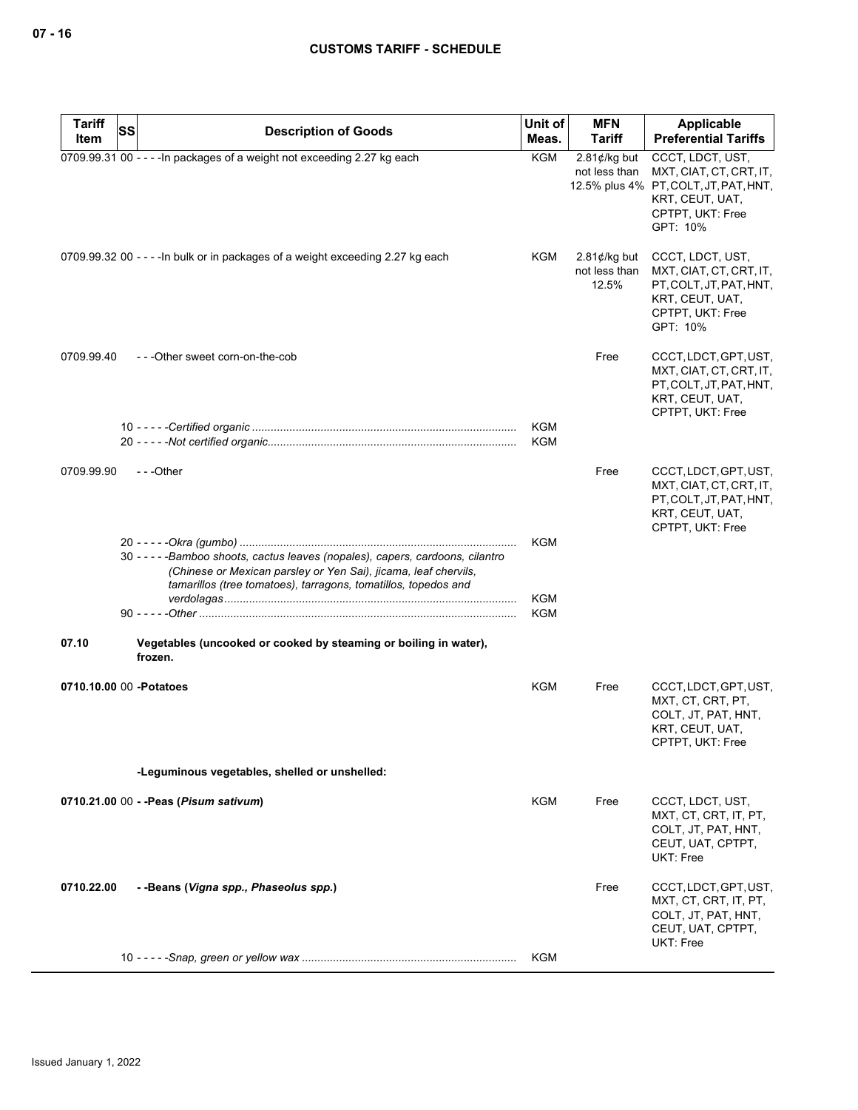| <b>Tariff</b>            | <b>SS</b> | <b>Description of Goods</b>                                                                                                                                                                                          | Unit of           | <b>MFN</b>                                | Applicable                                                                                                                              |
|--------------------------|-----------|----------------------------------------------------------------------------------------------------------------------------------------------------------------------------------------------------------------------|-------------------|-------------------------------------------|-----------------------------------------------------------------------------------------------------------------------------------------|
| Item                     |           |                                                                                                                                                                                                                      | Meas.             | Tariff                                    | <b>Preferential Tariffs</b>                                                                                                             |
|                          |           | 0709.99.31 00 - - - - In packages of a weight not exceeding 2.27 kg each                                                                                                                                             | <b>KGM</b>        | $2.81$ ¢/kg but<br>not less than          | CCCT, LDCT, UST,<br>MXT, CIAT, CT, CRT, IT,<br>12.5% plus 4% PT, COLT, JT, PAT, HNT,<br>KRT, CEUT, UAT,<br>CPTPT, UKT: Free<br>GPT: 10% |
|                          |           | 0709.99.32 00 - - - - In bulk or in packages of a weight exceeding 2.27 kg each                                                                                                                                      | KGM               | $2.81$ ¢/kg but<br>not less than<br>12.5% | CCCT, LDCT, UST,<br>MXT, CIAT, CT, CRT, IT,<br>PT, COLT, JT, PAT, HNT,<br>KRT, CEUT, UAT,<br>CPTPT, UKT: Free<br>GPT: 10%               |
| 0709.99.40               |           | ---Other sweet corn-on-the-cob                                                                                                                                                                                       |                   | Free                                      | CCCT, LDCT, GPT, UST,<br>MXT, CIAT, CT, CRT, IT,<br>PT, COLT, JT, PAT, HNT,<br>KRT, CEUT, UAT,<br>CPTPT, UKT: Free                      |
|                          |           |                                                                                                                                                                                                                      | <b>KGM</b><br>KGM |                                           |                                                                                                                                         |
| 0709.99.90               |           | ---Other                                                                                                                                                                                                             |                   | Free                                      | CCCT, LDCT, GPT, UST,<br>MXT, CIAT, CT, CRT, IT,<br>PT, COLT, JT, PAT, HNT,<br>KRT, CEUT, UAT,<br>CPTPT, UKT: Free                      |
|                          |           |                                                                                                                                                                                                                      | KGM               |                                           |                                                                                                                                         |
|                          |           | 30 - - - - - Bamboo shoots, cactus leaves (nopales), capers, cardoons, cilantro<br>(Chinese or Mexican parsley or Yen Sai), jicama, leaf chervils,<br>tamarillos (tree tomatoes), tarragons, tomatillos, topedos and |                   |                                           |                                                                                                                                         |
|                          |           |                                                                                                                                                                                                                      | KGM               |                                           |                                                                                                                                         |
|                          |           |                                                                                                                                                                                                                      | KGM               |                                           |                                                                                                                                         |
| 07.10                    |           | Vegetables (uncooked or cooked by steaming or boiling in water),<br>frozen.                                                                                                                                          |                   |                                           |                                                                                                                                         |
| 0710.10.00 00 - Potatoes |           |                                                                                                                                                                                                                      | KGM               | Free                                      | CCCT, LDCT, GPT, UST,<br>MXT, CT, CRT, PT,<br>COLT, JT, PAT, HNT,<br>KRT, CEUT, UAT,<br>CPTPT, UKT: Free                                |
|                          |           | -Leguminous vegetables, shelled or unshelled:                                                                                                                                                                        |                   |                                           |                                                                                                                                         |
|                          |           | 0710.21.00 00 - - Peas (Pisum sativum)                                                                                                                                                                               | KGM               | Free                                      | CCCT, LDCT, UST,<br>MXT, CT, CRT, IT, PT,<br>COLT, JT, PAT, HNT,<br>CEUT, UAT, CPTPT,<br>UKT: Free                                      |
| 0710.22.00               |           | - -Beans (Vigna spp., Phaseolus spp.)                                                                                                                                                                                |                   | Free                                      | CCCT, LDCT, GPT, UST,<br>MXT, CT, CRT, IT, PT,<br>COLT, JT, PAT, HNT,<br>CEUT, UAT, CPTPT,<br>UKT: Free                                 |
|                          |           |                                                                                                                                                                                                                      | KGM               |                                           |                                                                                                                                         |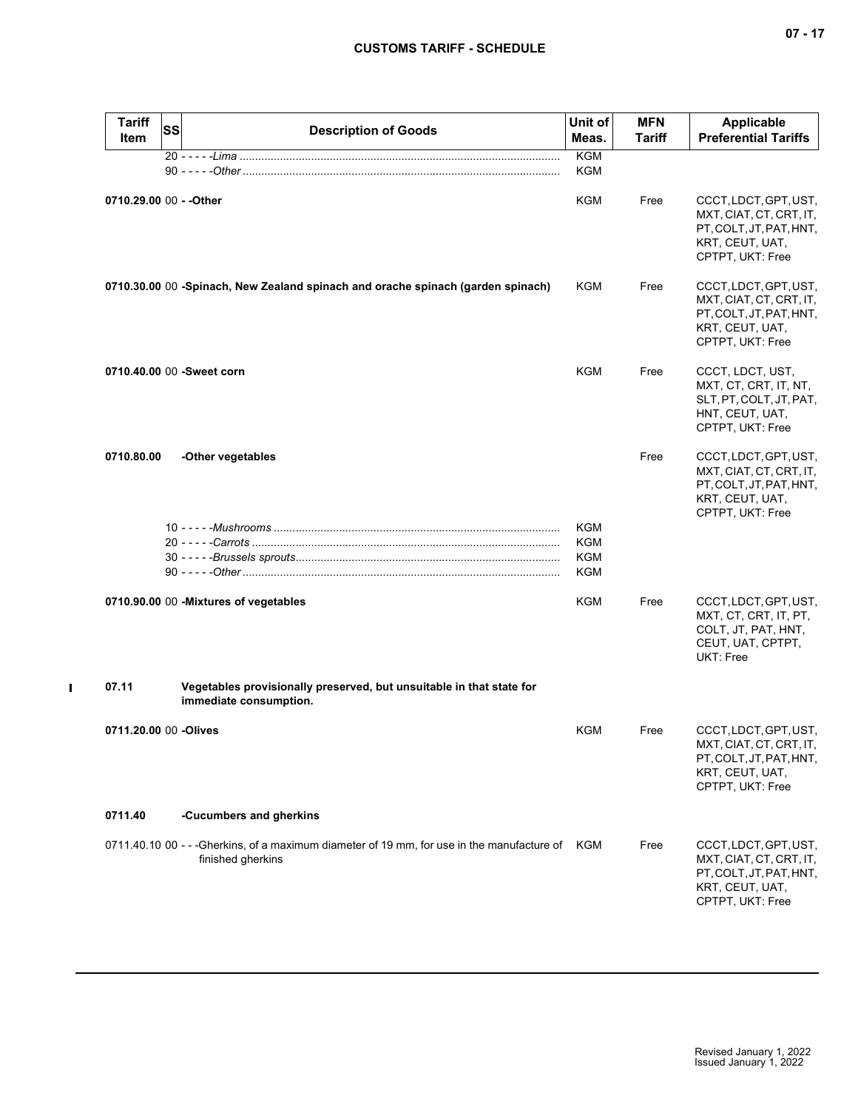| <b>Tariff</b><br><b>Item</b> | <b>SS</b> | <b>Description of Goods</b>                                                                                         | Unit of<br>Meas.                | <b>MFN</b><br><b>Tariff</b> | <b>Applicable</b><br><b>Preferential Tariffs</b>                                                                   |
|------------------------------|-----------|---------------------------------------------------------------------------------------------------------------------|---------------------------------|-----------------------------|--------------------------------------------------------------------------------------------------------------------|
|                              |           |                                                                                                                     | <b>KGM</b><br>KGM               |                             |                                                                                                                    |
| 0710.29.00 00 - - Other      |           |                                                                                                                     | KGM                             | Free                        | CCCT, LDCT, GPT, UST,<br>MXT, CIAT, CT, CRT, IT,<br>PT, COLT, JT, PAT, HNT,<br>KRT, CEUT, UAT,<br>CPTPT, UKT: Free |
|                              |           | 0710.30.00 00 -Spinach, New Zealand spinach and orache spinach (garden spinach)                                     | KGM                             | Free                        | CCCT, LDCT, GPT, UST,<br>MXT, CIAT, CT, CRT, IT,<br>PT, COLT, JT, PAT, HNT,<br>KRT, CEUT, UAT,<br>CPTPT, UKT: Free |
|                              |           | 0710.40.00 00 -Sweet corn                                                                                           | <b>KGM</b>                      | Free                        | CCCT, LDCT, UST,<br>MXT, CT, CRT, IT, NT,<br>SLT, PT, COLT, JT, PAT,<br>HNT, CEUT, UAT,<br>CPTPT, UKT: Free        |
| 0710.80.00                   |           | -Other vegetables                                                                                                   |                                 | Free                        | CCCT, LDCT, GPT, UST,<br>MXT, CIAT, CT, CRT, IT,<br>PT, COLT, JT, PAT, HNT,<br>KRT, CEUT, UAT,<br>CPTPT, UKT: Free |
|                              |           |                                                                                                                     | KGM<br><b>KGM</b><br>KGM<br>KGM |                             |                                                                                                                    |
|                              |           | 0710.90.00 00 - Mixtures of vegetables                                                                              | KGM                             | Free                        | CCCT, LDCT, GPT, UST,<br>MXT, CT, CRT, IT, PT,<br>COLT, JT, PAT, HNT,<br>CEUT, UAT, CPTPT,<br>UKT: Free            |
| 07.11                        |           | Vegetables provisionally preserved, but unsuitable in that state for<br>immediate consumption.                      |                                 |                             |                                                                                                                    |
| 0711.20.00 00 -Olives        |           |                                                                                                                     | KGM                             | Free                        | CCCT, LDCT, GPT, UST,<br>MXT, CIAT, CT, CRT, IT,<br>PT, COLT, JT, PAT, HNT,<br>KRT, CEUT, UAT,<br>CPTPT, UKT: Free |
| 0711.40                      |           | -Cucumbers and gherkins                                                                                             |                                 |                             |                                                                                                                    |
|                              |           | 0711.40.10 00 - - -Gherkins, of a maximum diameter of 19 mm, for use in the manufacture of KGM<br>finished gherkins |                                 | Free                        | CCCT, LDCT, GPT, UST,<br>MXT, CIAT, CT, CRT, IT,<br>PT, COLT, JT, PAT, HNT,<br>KRT, CEUT, UAT,<br>CPTPT, UKT: Free |

 $\mathbf{I}$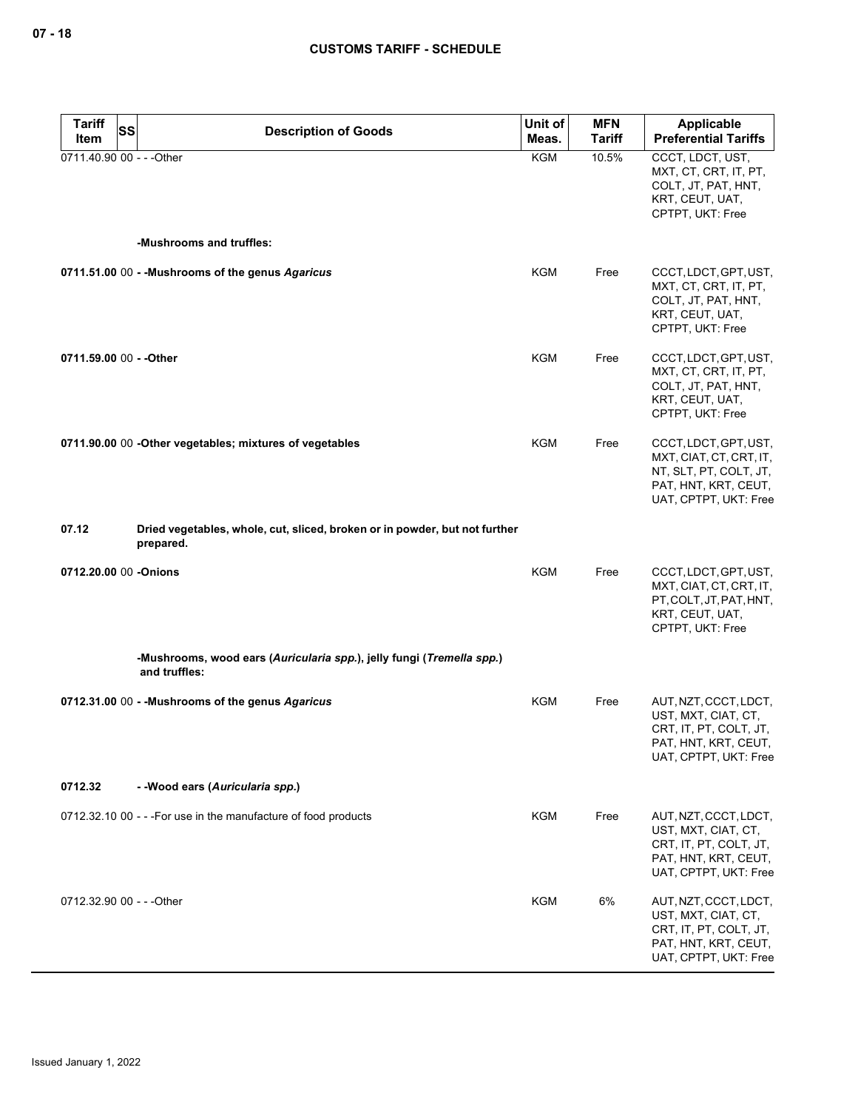| <b>Tariff</b><br>SS       | <b>Description of Goods</b>                                                             | Unit of    | <b>MFN</b>    | <b>Applicable</b>                                                                                                           |
|---------------------------|-----------------------------------------------------------------------------------------|------------|---------------|-----------------------------------------------------------------------------------------------------------------------------|
| Item                      |                                                                                         | Meas.      | <b>Tariff</b> | <b>Preferential Tariffs</b>                                                                                                 |
| 0711.40.90 00 - - - Other |                                                                                         | <b>KGM</b> | 10.5%         | CCCT, LDCT, UST,<br>MXT, CT, CRT, IT, PT,<br>COLT, JT, PAT, HNT,<br>KRT, CEUT, UAT,<br>CPTPT, UKT: Free                     |
|                           | -Mushrooms and truffles:                                                                |            |               |                                                                                                                             |
|                           | 0711.51.00 00 - - Mushrooms of the genus Agaricus                                       | <b>KGM</b> | Free          | CCCT, LDCT, GPT, UST,<br>MXT, CT, CRT, IT, PT,<br>COLT, JT, PAT, HNT,<br>KRT, CEUT, UAT,<br>CPTPT, UKT: Free                |
| 0711.59.00 00 - - Other   |                                                                                         | <b>KGM</b> | Free          | CCCT, LDCT, GPT, UST,<br>MXT, CT, CRT, IT, PT,<br>COLT, JT, PAT, HNT,<br>KRT, CEUT, UAT,<br>CPTPT, UKT: Free                |
|                           | 0711.90.00 00 - Other vegetables; mixtures of vegetables                                | KGM        | Free          | CCCT, LDCT, GPT, UST,<br>MXT, CIAT, CT, CRT, IT,<br>NT, SLT, PT, COLT, JT,<br>PAT, HNT, KRT, CEUT,<br>UAT, CPTPT, UKT: Free |
| 07.12                     | Dried vegetables, whole, cut, sliced, broken or in powder, but not further<br>prepared. |            |               |                                                                                                                             |
| 0712.20.00 00 -Onions     |                                                                                         | <b>KGM</b> | Free          | CCCT, LDCT, GPT, UST,<br>MXT, CIAT, CT, CRT, IT,<br>PT, COLT, JT, PAT, HNT,<br>KRT, CEUT, UAT,<br>CPTPT, UKT: Free          |
|                           | -Mushrooms, wood ears (Auricularia spp.), jelly fungi (Tremella spp.)<br>and truffles:  |            |               |                                                                                                                             |
|                           | 0712.31.00 00 - - Mushrooms of the genus Agaricus                                       | <b>KGM</b> | Free          | AUT, NZT, CCCT, LDCT,<br>UST, MXT, CIAT, CT,<br>CRT, IT, PT, COLT, JT,<br>PAT, HNT, KRT, CEUT,<br>UAT, CPTPT, UKT: Free     |
| 0712.32                   | - - Wood ears (Auricularia spp.)                                                        |            |               |                                                                                                                             |
|                           | 0712.32.10 00 - - - For use in the manufacture of food products                         | <b>KGM</b> | Free          | AUT, NZT, CCCT, LDCT,<br>UST, MXT, CIAT, CT,<br>CRT, IT, PT, COLT, JT,<br>PAT, HNT, KRT, CEUT,<br>UAT, CPTPT, UKT: Free     |
| 0712.32.90 00 - - - Other |                                                                                         | KGM        | 6%            | AUT, NZT, CCCT, LDCT,<br>UST, MXT, CIAT, CT,<br>CRT, IT, PT, COLT, JT,<br>PAT, HNT, KRT, CEUT,<br>UAT, CPTPT, UKT: Free     |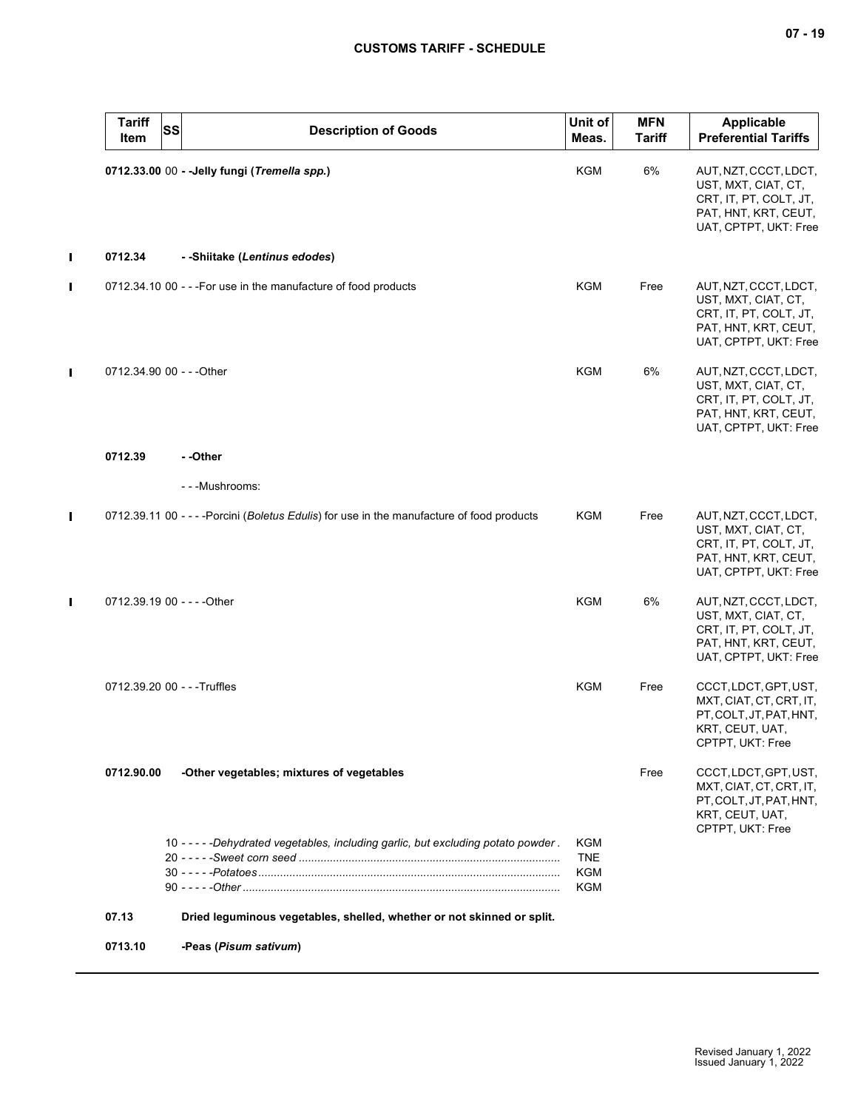| <b>Tariff</b><br>Item        | <b>SS</b><br><b>Description of Goods</b>                                                   | Unit of<br>Meas.                       | <b>MFN</b><br><b>Tariff</b> | <b>Applicable</b><br><b>Preferential Tariffs</b>                                                                        |
|------------------------------|--------------------------------------------------------------------------------------------|----------------------------------------|-----------------------------|-------------------------------------------------------------------------------------------------------------------------|
|                              | 0712.33.00 00 - - Jelly fungi (Tremella spp.)                                              | KGM                                    | 6%                          | AUT, NZT, CCCT, LDCT,<br>UST, MXT, CIAT, CT,<br>CRT, IT, PT, COLT, JT,<br>PAT, HNT, KRT, CEUT,<br>UAT, CPTPT, UKT: Free |
| 0712.34                      | - -Shiitake (Lentinus edodes)                                                              |                                        |                             |                                                                                                                         |
|                              | 0712.34.10 00 - - - For use in the manufacture of food products                            | <b>KGM</b>                             | Free                        | AUT, NZT, CCCT, LDCT,<br>UST, MXT, CIAT, CT,<br>CRT, IT, PT, COLT, JT,<br>PAT, HNT, KRT, CEUT,<br>UAT, CPTPT, UKT: Free |
| 0712.34.90 00 - - - Other    |                                                                                            | KGM                                    | 6%                          | AUT, NZT, CCCT, LDCT,<br>UST, MXT, CIAT, CT,<br>CRT, IT, PT, COLT, JT,<br>PAT, HNT, KRT, CEUT,<br>UAT, CPTPT, UKT: Free |
| 0712.39                      | - -Other                                                                                   |                                        |                             |                                                                                                                         |
|                              | - - - Mushrooms:                                                                           |                                        |                             |                                                                                                                         |
|                              | 0712.39.11 00 - - - - Porcini (Boletus Edulis) for use in the manufacture of food products | <b>KGM</b>                             | Free                        | AUT, NZT, CCCT, LDCT,<br>UST, MXT, CIAT, CT,<br>CRT, IT, PT, COLT, JT,<br>PAT, HNT, KRT, CEUT,<br>UAT, CPTPT, UKT: Free |
| 0712.39.19 00 - - - - Other  |                                                                                            | <b>KGM</b>                             | 6%                          | AUT, NZT, CCCT, LDCT,<br>UST, MXT, CIAT, CT,<br>CRT, IT, PT, COLT, JT,<br>PAT, HNT, KRT, CEUT,<br>UAT, CPTPT, UKT: Free |
| 0712.39.20 00 - - - Truffles |                                                                                            | <b>KGM</b>                             | Free                        | CCCT, LDCT, GPT, UST,<br>MXT, CIAT, CT, CRT, IT,<br>PT, COLT, JT, PAT, HNT,<br>KRT, CEUT, UAT,<br>CPTPT, UKT: Free      |
| 0712.90.00                   | -Other vegetables; mixtures of vegetables                                                  |                                        | Free                        | CCCT, LDCT, GPT, UST,<br>MXT, CIAT, CT, CRT, IT,<br>PT, COLT, JT, PAT, HNT,<br>KRT, CEUT, UAT,<br>CPTPT, UKT: Free      |
|                              | 10 - - - - - Dehydrated vegetables, including garlic, but excluding potato powder.         | <b>KGM</b><br><b>TNE</b><br>KGM<br>KGM |                             |                                                                                                                         |
| 07.13                        | Dried leguminous vegetables, shelled, whether or not skinned or split.                     |                                        |                             |                                                                                                                         |
| 0713.10                      | -Peas (Pisum sativum)                                                                      |                                        |                             |                                                                                                                         |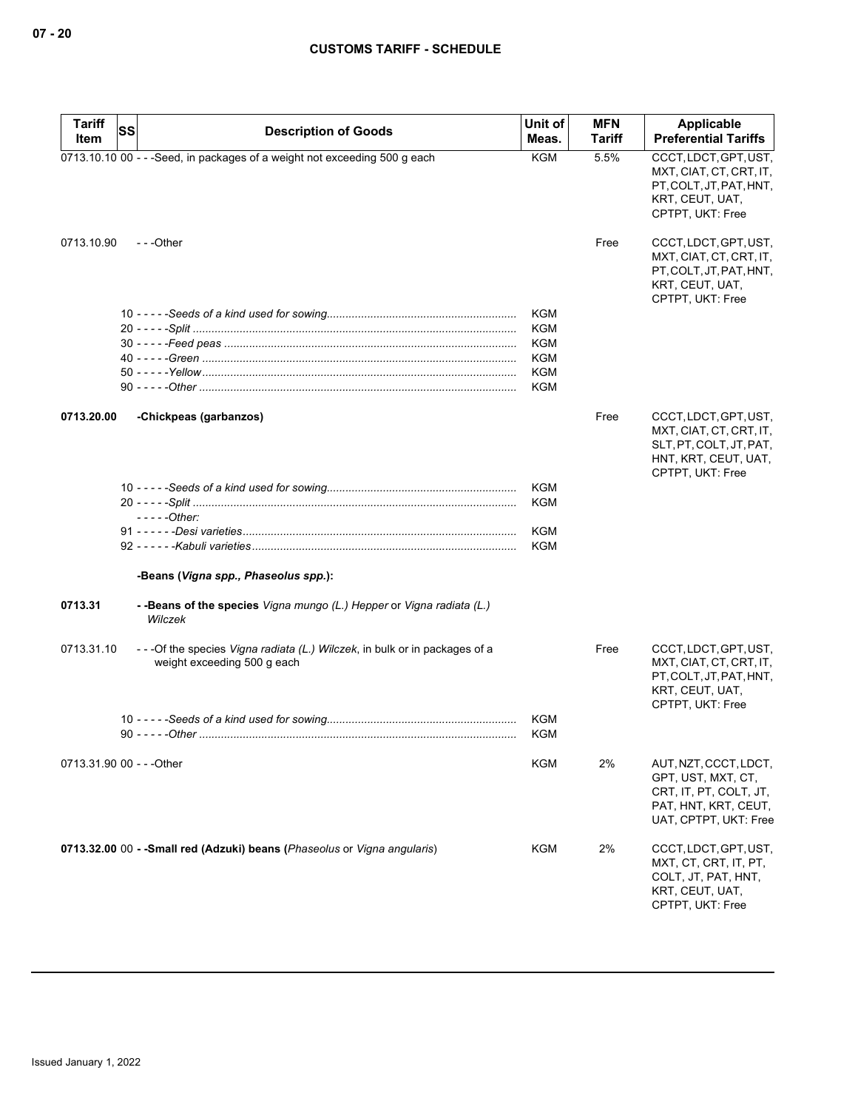| Tariff     | <b>SS</b><br><b>Description of Goods</b>                                                                    | Unit of           | <b>MFN</b>    | Applicable                                                                                                              |
|------------|-------------------------------------------------------------------------------------------------------------|-------------------|---------------|-------------------------------------------------------------------------------------------------------------------------|
| Item       |                                                                                                             | Meas.             | <b>Tariff</b> | <b>Preferential Tariffs</b>                                                                                             |
|            | 0713.10.10 00 - - - Seed, in packages of a weight not exceeding 500 g each                                  | <b>KGM</b>        | 5.5%          | CCCT, LDCT, GPT, UST,<br>MXT, CIAT, CT, CRT, IT,<br>PT, COLT, JT, PAT, HNT,<br>KRT, CEUT, UAT,<br>CPTPT, UKT: Free      |
| 0713.10.90 | ---Other                                                                                                    |                   | Free          | CCCT, LDCT, GPT, UST,<br>MXT, CIAT, CT, CRT, IT,<br>PT, COLT, JT, PAT, HNT,<br>KRT, CEUT, UAT,<br>CPTPT, UKT: Free      |
|            |                                                                                                             | <b>KGM</b>        |               |                                                                                                                         |
|            |                                                                                                             | <b>KGM</b>        |               |                                                                                                                         |
|            |                                                                                                             | KGM               |               |                                                                                                                         |
|            |                                                                                                             | KGM               |               |                                                                                                                         |
|            |                                                                                                             | <b>KGM</b>        |               |                                                                                                                         |
|            |                                                                                                             | KGM               |               |                                                                                                                         |
| 0713.20.00 | -Chickpeas (garbanzos)                                                                                      |                   | Free          | CCCT, LDCT, GPT, UST,<br>MXT, CIAT, CT, CRT, IT,<br>SLT, PT, COLT, JT, PAT,<br>HNT, KRT, CEUT, UAT,<br>CPTPT, UKT: Free |
|            |                                                                                                             | <b>KGM</b>        |               |                                                                                                                         |
|            |                                                                                                             | <b>KGM</b>        |               |                                                                                                                         |
|            | $---Other:$                                                                                                 |                   |               |                                                                                                                         |
|            |                                                                                                             | <b>KGM</b>        |               |                                                                                                                         |
|            |                                                                                                             | <b>KGM</b>        |               |                                                                                                                         |
|            | -Beans (Vigna spp., Phaseolus spp.):                                                                        |                   |               |                                                                                                                         |
| 0713.31    | - - Beans of the species Vigna mungo (L.) Hepper or Vigna radiata (L.)<br>Wilczek                           |                   |               |                                                                                                                         |
| 0713.31.10 | - - - Of the species Vigna radiata (L.) Wilczek, in bulk or in packages of a<br>weight exceeding 500 g each |                   | Free          | CCCT, LDCT, GPT, UST,<br>MXT, CIAT, CT, CRT, IT,<br>PT, COLT, JT, PAT, HNT,<br>KRT, CEUT, UAT,<br>CPTPT, UKT: Free      |
|            |                                                                                                             | KGM<br><b>KGM</b> |               |                                                                                                                         |
|            | 0713.31.90 00 - - - Other                                                                                   | <b>KGM</b>        | 2%            | AUT, NZT, CCCT, LDCT,<br>GPT, UST, MXT, CT,<br>CRT, IT, PT, COLT, JT,<br>PAT, HNT, KRT, CEUT,<br>UAT, CPTPT, UKT: Free  |
|            | 0713.32.00 00 - - Small red (Adzuki) beans (Phaseolus or Vigna angularis)                                   | <b>KGM</b>        | 2%            | CCCT, LDCT, GPT, UST,<br>MXT, CT, CRT, IT, PT,<br>COLT, JT, PAT, HNT,<br>KRT, CEUT, UAT,<br>CPTPT, UKT: Free            |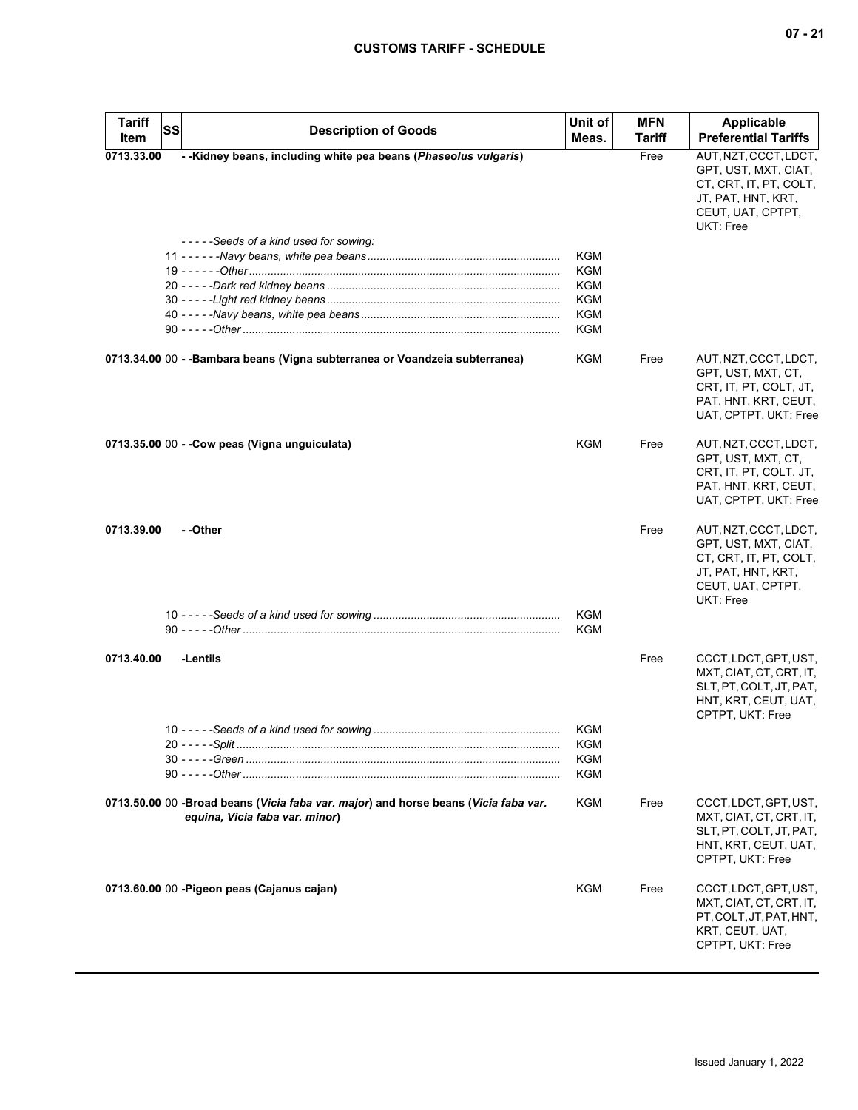| <b>Tariff</b><br>Item | <b>SS</b> | <b>Description of Goods</b>                                                                                           | Unit of<br>Meas. | <b>MFN</b><br>Tariff | Applicable<br><b>Preferential Tariffs</b>                                                                                       |
|-----------------------|-----------|-----------------------------------------------------------------------------------------------------------------------|------------------|----------------------|---------------------------------------------------------------------------------------------------------------------------------|
| 0713.33.00            |           | - - Kidney beans, including white pea beans (Phaseolus vulgaris)                                                      |                  | Free                 | AUT, NZT, CCCT, LDCT,                                                                                                           |
|                       |           |                                                                                                                       |                  |                      | GPT, UST, MXT, CIAT,<br>CT, CRT, IT, PT, COLT,<br>JT, PAT, HNT, KRT,<br>CEUT, UAT, CPTPT,<br>UKT: Free                          |
|                       |           | -----Seeds of a kind used for sowing:                                                                                 |                  |                      |                                                                                                                                 |
|                       |           |                                                                                                                       | KGM              |                      |                                                                                                                                 |
|                       |           |                                                                                                                       | KGM              |                      |                                                                                                                                 |
|                       |           |                                                                                                                       | KGM              |                      |                                                                                                                                 |
|                       |           |                                                                                                                       | KGM              |                      |                                                                                                                                 |
|                       |           |                                                                                                                       | KGM              |                      |                                                                                                                                 |
|                       |           |                                                                                                                       | KGM              |                      |                                                                                                                                 |
|                       |           | 0713.34.00 00 - -Bambara beans (Vigna subterranea or Voandzeia subterranea)                                           | KGM              | Free                 | AUT, NZT, CCCT, LDCT,<br>GPT, UST, MXT, CT,<br>CRT, IT, PT, COLT, JT,<br>PAT, HNT, KRT, CEUT,<br>UAT, CPTPT, UKT: Free          |
|                       |           | 0713.35.00 00 - - Cow peas (Vigna unguiculata)                                                                        | <b>KGM</b>       | Free                 | AUT, NZT, CCCT, LDCT,<br>GPT, UST, MXT, CT,<br>CRT, IT, PT, COLT, JT,<br>PAT, HNT, KRT, CEUT,<br>UAT, CPTPT, UKT: Free          |
| 0713.39.00            |           | - -Other                                                                                                              |                  | Free                 | AUT, NZT, CCCT, LDCT,<br>GPT, UST, MXT, CIAT,<br>CT, CRT, IT, PT, COLT,<br>JT, PAT, HNT, KRT,<br>CEUT, UAT, CPTPT,<br>UKT: Free |
|                       |           |                                                                                                                       | KGM<br>KGM       |                      |                                                                                                                                 |
| 0713.40.00            |           | -Lentils                                                                                                              |                  | Free                 | CCCT, LDCT, GPT, UST,<br>MXT, CIAT, CT, CRT, IT,<br>SLT, PT, COLT, JT, PAT,<br>HNT, KRT, CEUT, UAT,<br>CPTPT, UKT: Free         |
|                       |           |                                                                                                                       | KGM              |                      |                                                                                                                                 |
|                       |           |                                                                                                                       | KGM              |                      |                                                                                                                                 |
|                       |           |                                                                                                                       | KGM              |                      |                                                                                                                                 |
|                       |           |                                                                                                                       | KGM              |                      |                                                                                                                                 |
|                       |           | 0713.50.00 00 -Broad beans (Vicia faba var. major) and horse beans (Vicia faba var.<br>equina, Vicia faba var. minor) | <b>KGM</b>       | Free                 | CCCT, LDCT, GPT, UST,<br>MXT, CIAT, CT, CRT, IT,<br>SLT, PT, COLT, JT, PAT,<br>HNT, KRT, CEUT, UAT,<br>CPTPT, UKT: Free         |
|                       |           | 0713.60.00 00 - Pigeon peas (Cajanus cajan)                                                                           | KGM              | Free                 | CCCT, LDCT, GPT, UST,<br>MXT, CIAT, CT, CRT, IT,<br>PT, COLT, JT, PAT, HNT,<br>KRT, CEUT, UAT,<br>CPTPT, UKT: Free              |